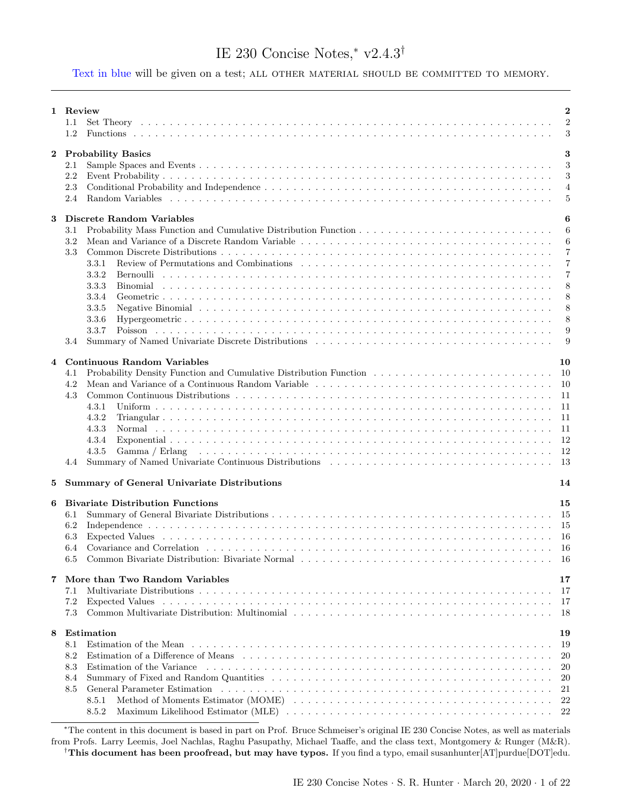# IE 230 Concise Notes,[∗](#page-0-0) v2.4.3[†](#page-0-1)

Text in blue will be given on a test; ALL OTHER MATERIAL SHOULD BE COMMITTED TO MEMORY.

|          | 1 Review                                                                                                                                                                                                                               | $\overline{\mathbf{2}}$ |
|----------|----------------------------------------------------------------------------------------------------------------------------------------------------------------------------------------------------------------------------------------|-------------------------|
|          | 1.1                                                                                                                                                                                                                                    | $\overline{2}$          |
|          | 1.2                                                                                                                                                                                                                                    | 3                       |
|          |                                                                                                                                                                                                                                        |                         |
| $\bf{2}$ | <b>Probability Basics</b>                                                                                                                                                                                                              | 3                       |
|          |                                                                                                                                                                                                                                        |                         |
|          | 2.1                                                                                                                                                                                                                                    | 3                       |
|          | 2.2                                                                                                                                                                                                                                    | 3                       |
|          | 2.3                                                                                                                                                                                                                                    | $\overline{4}$          |
|          | 2.4                                                                                                                                                                                                                                    | 5                       |
|          |                                                                                                                                                                                                                                        |                         |
| 3        | Discrete Random Variables                                                                                                                                                                                                              | 6                       |
|          | 3.1                                                                                                                                                                                                                                    | 6                       |
|          | 3.2                                                                                                                                                                                                                                    | 6                       |
|          |                                                                                                                                                                                                                                        |                         |
|          | 3.3                                                                                                                                                                                                                                    | $\overline{7}$          |
|          | $3.3.1\,$                                                                                                                                                                                                                              | $\overline{7}$          |
|          | 3.3.2                                                                                                                                                                                                                                  | 7                       |
|          | Binomial<br>3.3.3                                                                                                                                                                                                                      | 8                       |
|          | 3.3.4                                                                                                                                                                                                                                  | 8                       |
|          | Negative Binomial response to the contract of the contract of the contract of the contract of the contract of the contract of the contract of the contract of the contract of the contract of the contract of the contract of<br>3.3.5 | 8                       |
|          | 3.3.6                                                                                                                                                                                                                                  | 8                       |
|          |                                                                                                                                                                                                                                        |                         |
|          | 3.3.7                                                                                                                                                                                                                                  | 9                       |
|          | 3.4                                                                                                                                                                                                                                    | 9                       |
|          |                                                                                                                                                                                                                                        |                         |
| 4        | <b>Continuous Random Variables</b>                                                                                                                                                                                                     | 10                      |
|          | 4.1                                                                                                                                                                                                                                    | 10                      |
|          | 4.2                                                                                                                                                                                                                                    | 10                      |
|          | 4.3                                                                                                                                                                                                                                    | -11                     |
|          | 4.3.1                                                                                                                                                                                                                                  | 11                      |
|          | 4.3.2                                                                                                                                                                                                                                  | 11                      |
|          |                                                                                                                                                                                                                                        |                         |
|          | 4.3.3                                                                                                                                                                                                                                  | 11                      |
|          | 4.3.4                                                                                                                                                                                                                                  | 12                      |
|          | 4.3.5<br>Gamma / Erlang                                                                                                                                                                                                                | -12                     |
|          | 4.4                                                                                                                                                                                                                                    | -13                     |
|          |                                                                                                                                                                                                                                        |                         |
| 5        | <b>Summary of General Univariate Distributions</b>                                                                                                                                                                                     | 14                      |
|          |                                                                                                                                                                                                                                        |                         |
| 6        | <b>Bivariate Distribution Functions</b>                                                                                                                                                                                                | 15                      |
|          | 6.1                                                                                                                                                                                                                                    | 15                      |
|          | 6.2                                                                                                                                                                                                                                    | 15                      |
|          |                                                                                                                                                                                                                                        |                         |
|          | 6.3                                                                                                                                                                                                                                    | 16                      |
|          | 6.4                                                                                                                                                                                                                                    | 16                      |
|          | 6.5                                                                                                                                                                                                                                    | -16                     |
|          |                                                                                                                                                                                                                                        |                         |
| 7        | More than Two Random Variables                                                                                                                                                                                                         | 17                      |
|          | 7.1                                                                                                                                                                                                                                    | 17                      |
|          | 7.2<br>Expected Values                                                                                                                                                                                                                 | -17                     |
|          | 7.3                                                                                                                                                                                                                                    | -18                     |
|          |                                                                                                                                                                                                                                        |                         |
| 8        | Estimation                                                                                                                                                                                                                             | 19                      |
|          |                                                                                                                                                                                                                                        |                         |
|          | 8.1                                                                                                                                                                                                                                    | 19                      |
|          | 8.2                                                                                                                                                                                                                                    | 20                      |
|          | 8.3<br>Estimation of the Variance                                                                                                                                                                                                      | 20                      |
|          | 8.4                                                                                                                                                                                                                                    | 20                      |
|          | 8.5                                                                                                                                                                                                                                    | 21                      |
|          | 8.5.1                                                                                                                                                                                                                                  | 22                      |
|          |                                                                                                                                                                                                                                        | 22                      |
|          | 8.5.2                                                                                                                                                                                                                                  |                         |

<span id="page-0-1"></span><span id="page-0-0"></span><sup>∗</sup>The content in this document is based in part on Prof. Bruce Schmeiser's original IE 230 Concise Notes, as well as materials from Profs. Larry Leemis, Joel Nachlas, Raghu Pasupathy, Michael Taaffe, and the class text, Montgomery & Runger (M&R). †This document has been proofread, but may have typos. If you find a typo, email susanhunter[AT]purdue[DOT]edu.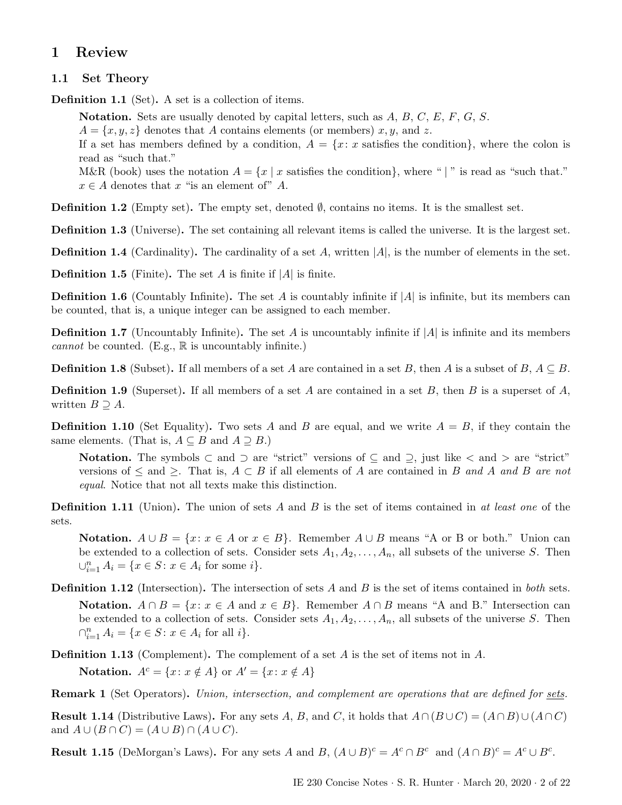# <span id="page-1-0"></span>1 Review

# <span id="page-1-1"></span>1.1 Set Theory

Definition 1.1 (Set). A set is a collection of items.

**Notation.** Sets are usually denoted by capital letters, such as  $A, B, C, E, F, G, S$ .

 $A = \{x, y, z\}$  denotes that A contains elements (or members) x, y, and z.

If a set has members defined by a condition,  $A = \{x : x \text{ satisfies the condition}\}\$ , where the colon is read as "such that."

M&R (book) uses the notation  $A = \{x \mid x \text{ satisfies the condition}\}\$ , where " | " is read as "such that."  $x \in A$  denotes that x "is an element of" A.

**Definition 1.2** (Empty set). The empty set, denoted  $\emptyset$ , contains no items. It is the smallest set.

Definition 1.3 (Universe). The set containing all relevant items is called the universe. It is the largest set.

**Definition 1.4** (Cardinality). The cardinality of a set A, written  $|A|$ , is the number of elements in the set.

**Definition 1.5** (Finite). The set A is finite if  $|A|$  is finite.

**Definition 1.6** (Countably Infinite). The set A is countably infinite if |A| is infinite, but its members can be counted, that is, a unique integer can be assigned to each member.

**Definition 1.7** (Uncountably Infinite). The set A is uncountably infinite if  $|A|$  is infinite and its members cannot be counted. (E.g.,  $\mathbb R$  is uncountably infinite.)

**Definition 1.8** (Subset). If all members of a set A are contained in a set B, then A is a subset of B,  $A \subseteq B$ .

**Definition 1.9** (Superset). If all members of a set A are contained in a set B, then B is a superset of A, written  $B \supseteq A$ .

**Definition 1.10** (Set Equality). Two sets A and B are equal, and we write  $A = B$ , if they contain the same elements. (That is,  $A \subseteq B$  and  $A \supseteq B$ .)

Notation. The symbols ⊂ and ⊃ are "strict" versions of  $\subseteq$  and  $\supseteq$ , just like  $\lt$  and  $>$  are "strict" versions of  $\leq$  and  $\geq$ . That is,  $A \subset B$  if all elements of A are contained in B and A and B are not equal. Notice that not all texts make this distinction.

**Definition 1.11** (Union). The union of sets A and B is the set of items contained in at least one of the sets.

Notation.  $A \cup B = \{x : x \in A \text{ or } x \in B\}$ . Remember  $A \cup B$  means "A or B or both." Union can be extended to a collection of sets. Consider sets  $A_1, A_2, \ldots, A_n$ , all subsets of the universe S. Then  $\bigcup_{i=1}^{n} A_i = \{x \in S : x \in A_i \text{ for some } i\}.$ 

**Definition 1.12** (Intersection). The intersection of sets A and B is the set of items contained in *both* sets. Notation.  $A \cap B = \{x : x \in A \text{ and } x \in B\}$ . Remember  $A \cap B$  means "A and B." Intersection can be extended to a collection of sets. Consider sets  $A_1, A_2, \ldots, A_n$ , all subsets of the universe S. Then  $\bigcap_{i=1}^{n} A_i = \{x \in S : x \in A_i \text{ for all } i\}.$ 

Definition 1.13 (Complement). The complement of a set A is the set of items not in A. Notation.  $A^c = \{x : x \notin A\}$  or  $A' = \{x : x \notin A\}$ 

Remark 1 (Set Operators). Union, intersection, and complement are operations that are defined for sets.

**Result 1.14** (Distributive Laws). For any sets A, B, and C, it holds that  $A \cap (B \cup C) = (A \cap B) \cup (A \cap C)$ and  $A \cup (B \cap C) = (A \cup B) \cap (A \cup C)$ .

**Result 1.15** (DeMorgan's Laws). For any sets A and B,  $(A \cup B)^c = A^c \cap B^c$  and  $(A \cap B)^c = A^c \cup B^c$ .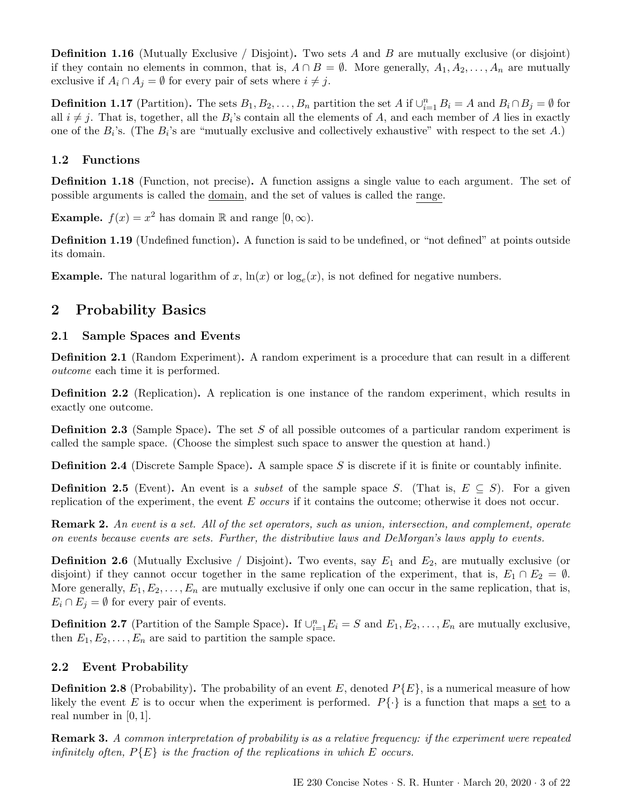**Definition 1.16** (Mutually Exclusive / Disjoint). Two sets A and B are mutually exclusive (or disjoint) if they contain no elements in common, that is,  $A \cap B = \emptyset$ . More generally,  $A_1, A_2, \ldots, A_n$  are mutually exclusive if  $A_i \cap A_j = \emptyset$  for every pair of sets where  $i \neq j$ .

**Definition 1.17** (Partition). The sets  $B_1, B_2, \ldots, B_n$  partition the set A if  $\bigcup_{i=1}^n B_i = A$  and  $B_i \cap B_j = \emptyset$  for all  $i \neq j$ . That is, together, all the  $B_i$ 's contain all the elements of A, and each member of A lies in exactly one of the  $B_i$ 's. (The  $B_i$ 's are "mutually exclusive and collectively exhaustive" with respect to the set A.)

# <span id="page-2-0"></span>1.2 Functions

Definition 1.18 (Function, not precise). A function assigns a single value to each argument. The set of possible arguments is called the domain, and the set of values is called the range.

**Example.**  $f(x) = x^2$  has domain R and range  $[0, \infty)$ .

Definition 1.19 (Undefined function). A function is said to be undefined, or "not defined" at points outside its domain.

**Example.** The natural logarithm of x,  $\ln(x)$  or  $\log_e(x)$ , is not defined for negative numbers.

# <span id="page-2-1"></span>2 Probability Basics

# <span id="page-2-2"></span>2.1 Sample Spaces and Events

Definition 2.1 (Random Experiment). A random experiment is a procedure that can result in a different outcome each time it is performed.

Definition 2.2 (Replication). A replication is one instance of the random experiment, which results in exactly one outcome.

Definition 2.3 (Sample Space). The set S of all possible outcomes of a particular random experiment is called the sample space. (Choose the simplest such space to answer the question at hand.)

Definition 2.4 (Discrete Sample Space). A sample space S is discrete if it is finite or countably infinite.

**Definition 2.5** (Event). An event is a *subset* of the sample space S. (That is,  $E \subseteq S$ ). For a given replication of the experiment, the event E occurs if it contains the outcome; otherwise it does not occur.

Remark 2. An event is a set. All of the set operators, such as union, intersection, and complement, operate on events because events are sets. Further, the distributive laws and DeMorgan's laws apply to events.

**Definition 2.6** (Mutually Exclusive / Disjoint). Two events, say  $E_1$  and  $E_2$ , are mutually exclusive (or disjoint) if they cannot occur together in the same replication of the experiment, that is,  $E_1 \cap E_2 = \emptyset$ . More generally,  $E_1, E_2, \ldots, E_n$  are mutually exclusive if only one can occur in the same replication, that is,  $E_i \cap E_j = \emptyset$  for every pair of events.

**Definition 2.7** (Partition of the Sample Space). If  $\bigcup_{i=1}^{n} E_i = S$  and  $E_1, E_2, \ldots, E_n$  are mutually exclusive, then  $E_1, E_2, \ldots, E_n$  are said to partition the sample space.

# <span id="page-2-3"></span>2.2 Event Probability

**Definition 2.8** (Probability). The probability of an event E, denoted  $P(E)$ , is a numerical measure of how likely the event E is to occur when the experiment is performed.  $P\{\cdot\}$  is a function that maps a set to a real number in [0, 1].

Remark 3. A common interpretation of probability is as a relative frequency: if the experiment were repeated infinitely often,  $P\{E\}$  is the fraction of the replications in which E occurs.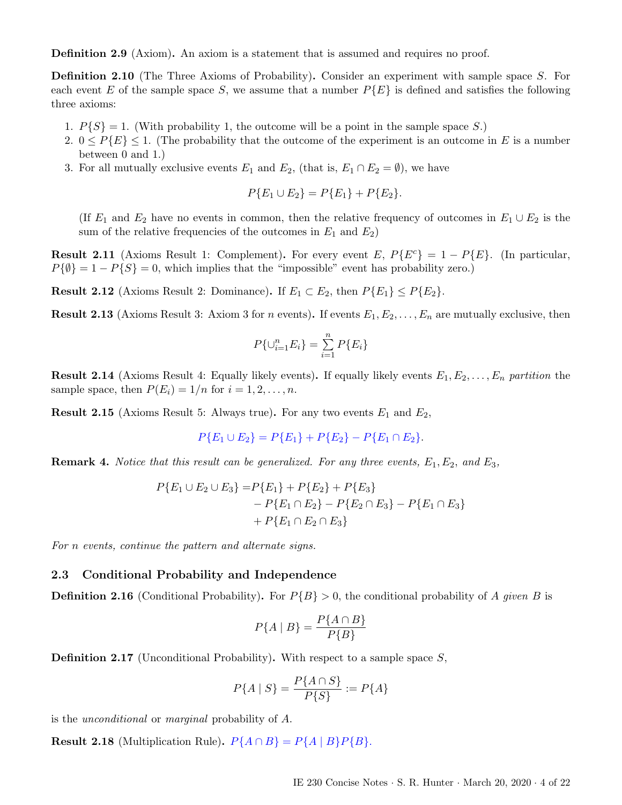Definition 2.9 (Axiom). An axiom is a statement that is assumed and requires no proof.

Definition 2.10 (The Three Axioms of Probability). Consider an experiment with sample space S. For each event E of the sample space S, we assume that a number  $P\{E\}$  is defined and satisfies the following three axioms:

- 1.  $P{S} = 1$ . (With probability 1, the outcome will be a point in the sample space S.)
- 2.  $0 \leq P\{E\} \leq 1$ . (The probability that the outcome of the experiment is an outcome in E is a number between 0 and 1.)
- 3. For all mutually exclusive events  $E_1$  and  $E_2$ , (that is,  $E_1 \cap E_2 = \emptyset$ ), we have

$$
P\{E_1 \cup E_2\} = P\{E_1\} + P\{E_2\}.
$$

(If  $E_1$  and  $E_2$  have no events in common, then the relative frequency of outcomes in  $E_1 \cup E_2$  is the sum of the relative frequencies of the outcomes in  $E_1$  and  $E_2$ )

**Result 2.11** (Axioms Result 1: Complement). For every event E,  $P\{E^c\} = 1 - P\{E\}$ . (In particular,  $P{\lbrace \emptyset \rbrace} = 1 - P{S} = 0$ , which implies that the "impossible" event has probability zero.)

**Result 2.12** (Axioms Result 2: Dominance). If  $E_1 \subset E_2$ , then  $P\{E_1\} \leq P\{E_2\}$ .

**Result 2.13** (Axioms Result 3: Axiom 3 for n events). If events  $E_1, E_2, \ldots, E_n$  are mutually exclusive, then

$$
P\{\cup_{i=1}^{n} E_i\} = \sum_{i=1}^{n} P\{E_i\}
$$

**Result 2.14** (Axioms Result 4: Equally likely events). If equally likely events  $E_1, E_2, \ldots, E_n$  partition the sample space, then  $P(E_i) = 1/n$  for  $i = 1, 2, \ldots, n$ .

**Result 2.15** (Axioms Result 5: Always true). For any two events  $E_1$  and  $E_2$ ,

$$
P\{E_1 \cup E_2\} = P\{E_1\} + P\{E_2\} - P\{E_1 \cap E_2\}.
$$

**Remark 4.** Notice that this result can be generalized. For any three events,  $E_1, E_2$ , and  $E_3$ ,

$$
P{E_1 \cup E_2 \cup E_3} = P{E_1} + P{E_2} + P{E_3} - P{E_1 \cap E_2} - P{E_2 \cap E_3} - P{E_1 \cap E_3} + P{E_1 \cap E_2 \cap E_3}
$$

For n events, continue the pattern and alternate signs.

#### <span id="page-3-0"></span>2.3 Conditional Probability and Independence

**Definition 2.16** (Conditional Probability). For  $P{B} > 0$ , the conditional probability of A given B is

$$
P\{A \mid B\} = \frac{P\{A \cap B\}}{P\{B\}}
$$

**Definition 2.17** (Unconditional Probability). With respect to a sample space  $S$ ,

$$
P\{A \mid S\} = \frac{P\{A \cap S\}}{P\{S\}} := P\{A\}
$$

is the unconditional or marginal probability of A.

**Result 2.18** (Multiplication Rule).  $P\{A \cap B\} = P\{A \mid B\}P\{B\}.$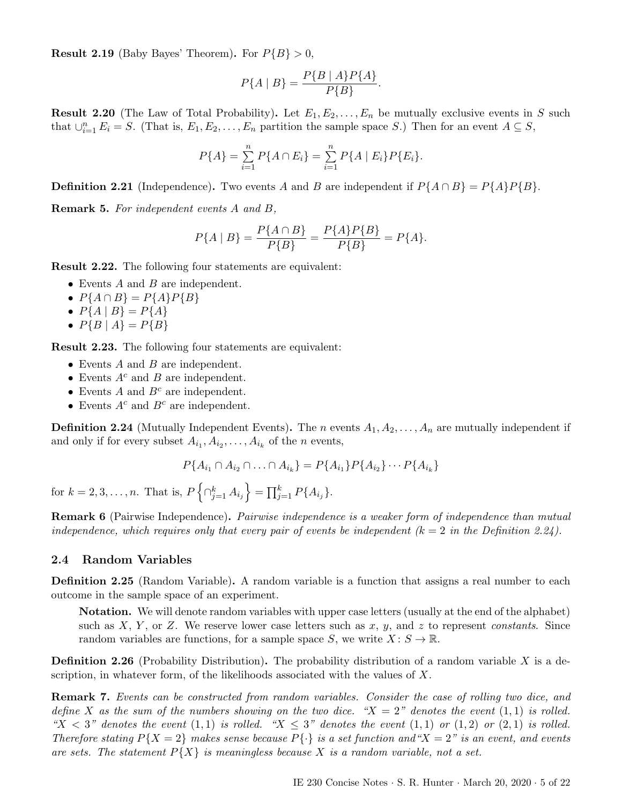**Result 2.19** (Baby Bayes' Theorem). For  $P{B} > 0$ ,

$$
P\{A \mid B\} = \frac{P\{B \mid A\}P\{A\}}{P\{B\}}.
$$

**Result 2.20** (The Law of Total Probability). Let  $E_1, E_2, \ldots, E_n$  be mutually exclusive events in S such that  $\cup_{i=1}^n E_i = S$ . (That is,  $E_1, E_2, \ldots, E_n$  partition the sample space S.) Then for an event  $A \subseteq S$ ,

$$
P\{A\} = \sum_{i=1}^{n} P\{A \cap E_i\} = \sum_{i=1}^{n} P\{A \mid E_i\} P\{E_i\}.
$$

**Definition 2.21** (Independence). Two events A and B are independent if  $P\{A \cap B\} = P\{A\}P\{B\}$ .

Remark 5. For independent events A and B,

$$
P\{A \mid B\} = \frac{P\{A \cap B\}}{P\{B\}} = \frac{P\{A\}P\{B\}}{P\{B\}} = P\{A\}.
$$

Result 2.22. The following four statements are equivalent:

- Events  $A$  and  $B$  are independent.
- $P{A \cap B} = P{A}P{B}$
- $P{A | B} = P{A}$
- $P{B | A} = P{B}$

Result 2.23. The following four statements are equivalent:

- Events  $A$  and  $B$  are independent.
- Events  $A^c$  and  $B$  are independent.
- Events  $A$  and  $B<sup>c</sup>$  are independent.
- Events  $A^c$  and  $B^c$  are independent.

<span id="page-4-1"></span>**Definition 2.24** (Mutually Independent Events). The *n* events  $A_1, A_2, \ldots, A_n$  are mutually independent if and only if for every subset  $A_{i_1}, A_{i_2}, \ldots, A_{i_k}$  of the *n* events,

$$
P{A_{i_1} \cap A_{i_2} \cap \ldots \cap A_{i_k}} = P{A_{i_1} P{A_{i_2} \} \cdots P{A_{i_k}}}
$$

for  $k = 2, 3, ..., n$ . That is,  $P\left\{\bigcap_{j=1}^k A_{i_j}\right\} = \prod_{j=1}^k P\{A_{i_j}\}.$ 

**Remark 6** (Pairwise Independence). Pairwise independence is a weaker form of independence than mutual independence, which requires only that every pair of events be independent  $(k = 2$  in the Definition [2.24\)](#page-4-1).

#### <span id="page-4-0"></span>2.4 Random Variables

**Definition 2.25** (Random Variable). A random variable is a function that assigns a real number to each outcome in the sample space of an experiment.

Notation. We will denote random variables with upper case letters (usually at the end of the alphabet) such as  $X, Y$ , or  $Z$ . We reserve lower case letters such as  $x, y$ , and  $z$  to represent *constants*. Since random variables are functions, for a sample space S, we write  $X: S \to \mathbb{R}$ .

**Definition 2.26** (Probability Distribution). The probability distribution of a random variable X is a description, in whatever form, of the likelihoods associated with the values of  $X$ .

Remark 7. Events can be constructed from random variables. Consider the case of rolling two dice, and define X as the sum of the numbers showing on the two dice. " $X = 2$ " denotes the event  $(1, 1)$  is rolled. " $X < 3$ " denotes the event (1, 1) is rolled. " $X \leq 3$ " denotes the event (1, 1) or (1, 2) or (2, 1) is rolled. Therefore stating  $P{X = 2}$  makes sense because  $P{\{\cdot\}}$  is a set function and " $X = 2$ " is an event, and events are sets. The statement  $P{X}$  is meaningless because X is a random variable, not a set.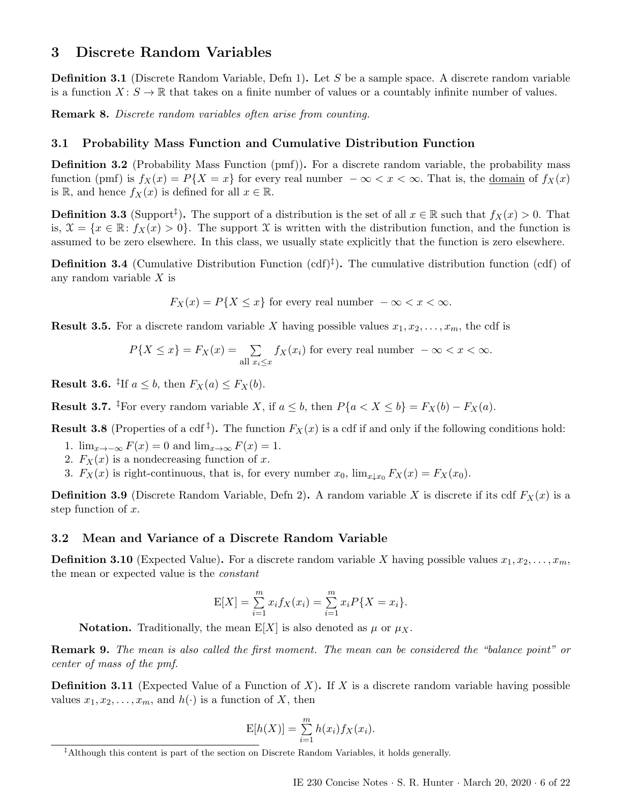# <span id="page-5-0"></span>3 Discrete Random Variables

Definition 3.1 (Discrete Random Variable, Defn 1). Let S be a sample space. A discrete random variable is a function  $X: S \to \mathbb{R}$  that takes on a finite number of values or a countably infinite number of values.

Remark 8. Discrete random variables often arise from counting.

## <span id="page-5-1"></span>3.1 Probability Mass Function and Cumulative Distribution Function

**Definition 3.2** (Probability Mass Function (pmf)). For a discrete random variable, the probability mass function (pmf) is  $f_X(x) = P\{X = x\}$  for every real number  $-\infty < x < \infty$ . That is, the domain of  $f_X(x)$ is R, and hence  $f_X(x)$  is defined for all  $x \in \mathbb{R}$ .

<span id="page-5-4"></span>**Definition 3.3** (Support<sup>†</sup>). The support of a distribution is the set of all  $x \in \mathbb{R}$  such that  $f_X(x) > 0$ . That is,  $\mathfrak{X} = \{x \in \mathbb{R} : f_X(x) > 0\}$ . The support X is written with the distribution function, and the function is assumed to be zero elsewhere. In this class, we usually state explicitly that the function is zero elsewhere.

**Definition 3.4** (Cumulative Distribution Function  $(\text{cdf})^{\ddagger}$ ). The cumulative distribution function  $(\text{cdf})$  of any random variable  $X$  is

$$
F_X(x) = P\{X \le x\} \text{ for every real number } -\infty < x < \infty.
$$

**Result 3.5.** For a discrete random variable X having possible values  $x_1, x_2, \ldots, x_m$ , the cdf is

$$
P\{X \le x\} = F_X(x) = \sum_{\text{all } x_i \le x} f_X(x_i) \text{ for every real number } -\infty < x < \infty.
$$

**Result 3.6.** <sup>‡</sup>If  $a \leq b$ , then  $F_X(a) \leq F_X(b)$ .

**Result 3.7.** <sup>‡</sup>For every random variable X, if  $a \leq b$ , then  $P\{a < X \leq b\} = F_X(b) - F_X(a)$ .

**Result 3.8** (Properties of a cdf<sup> $\ddagger$ </sup>). The function  $F_X(x)$  is a cdf if and only if the following conditions hold:

- 1.  $\lim_{x\to-\infty} F(x) = 0$  and  $\lim_{x\to\infty} F(x) = 1$ .
- 2.  $F_X(x)$  is a nondecreasing function of x.
- 3.  $F_X(x)$  is right-continuous, that is, for every number  $x_0$ ,  $\lim_{x \downarrow x_0} F_X(x) = F_X(x_0)$ .

**Definition 3.9** (Discrete Random Variable, Defn 2). A random variable X is discrete if its cdf  $F_X(x)$  is a step function of x.

### <span id="page-5-2"></span>3.2 Mean and Variance of a Discrete Random Variable

**Definition 3.10** (Expected Value). For a discrete random variable X having possible values  $x_1, x_2, \ldots, x_m$ , the mean or expected value is the constant

$$
E[X] = \sum_{i=1}^{m} x_i f_X(x_i) = \sum_{i=1}^{m} x_i P\{X = x_i\}.
$$

**Notation.** Traditionally, the mean  $E[X]$  is also denoted as  $\mu$  or  $\mu_X$ .

Remark 9. The mean is also called the first moment. The mean can be considered the "balance point" or center of mass of the pmf.

**Definition 3.11** (Expected Value of a Function of X). If X is a discrete random variable having possible values  $x_1, x_2, \ldots, x_m$ , and  $h(\cdot)$  is a function of X, then

$$
\mathcal{E}[h(X)] = \sum_{i=1}^{m} h(x_i) f_X(x_i).
$$

<span id="page-5-3"></span><sup>‡</sup>Although this content is part of the section on Discrete Random Variables, it holds generally.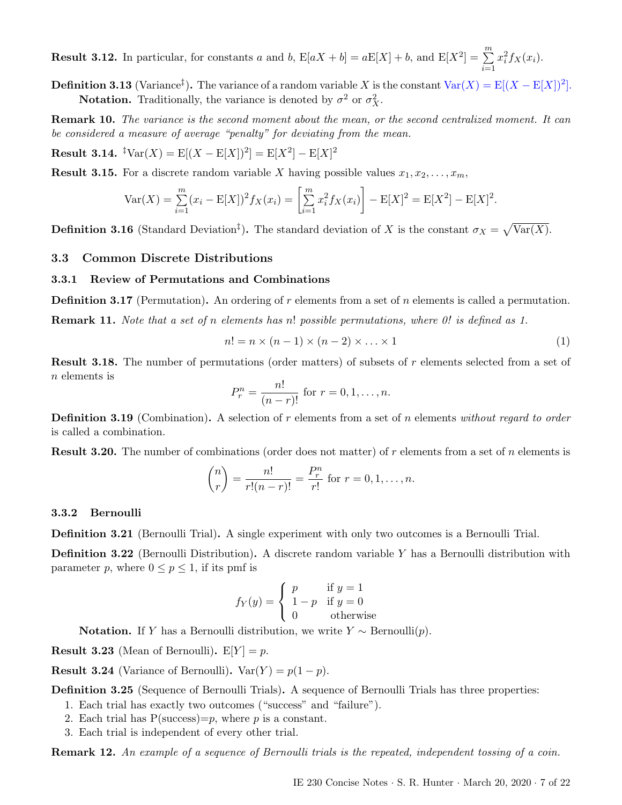**Result 3.12.** In particular, for constants a and b,  $E[aX + b] = aE[X] + b$ , and  $E[X^2] = \sum_{n=1}^{\infty}$  $i=1$  $x_i^2 f_X(x_i)$ .

**Definition 3.13** (Variance<sup>†</sup>). The variance of a random variable X is the constant  $Var(X) = E[(X - E[X])^2]$ . **Notation.** Traditionally, the variance is denoted by  $\sigma^2$  or  $\sigma_X^2$ .

Remark 10. The variance is the second moment about the mean, or the second centralized moment. It can be considered a measure of average "penalty" for deviating from the mean.

**Result 3.14.**  ${}^{\ddagger}$ Var(X) =  $E[(X - E[X])^2] = E[X^2] - E[X]^2$ 

**Result 3.15.** For a discrete random variable X having possible values  $x_1, x_2, \ldots, x_m$ ,

$$
\text{Var}(X) = \sum_{i=1}^{m} (x_i - \mathbb{E}[X])^2 f_X(x_i) = \left[ \sum_{i=1}^{m} x_i^2 f_X(x_i) \right] - \mathbb{E}[X]^2 = \mathbb{E}[X^2] - \mathbb{E}[X]^2.
$$

**Definition 3.16** (Standard Deviation<sup>†</sup>). The standard deviation of X is the constant  $\sigma_X = \sqrt{\text{Var}(X)}$ .

# <span id="page-6-0"></span>3.3 Common Discrete Distributions

#### <span id="page-6-1"></span>3.3.1 Review of Permutations and Combinations

**Definition 3.17** (Permutation). An ordering of r elements from a set of n elements is called a permutation. Remark 11. Note that a set of n elements has n! possible permutations, where 0! is defined as 1.

$$
n! = n \times (n-1) \times (n-2) \times \ldots \times 1 \tag{1}
$$

Result 3.18. The number of permutations (order matters) of subsets of r elements selected from a set of n elements is

$$
P_r^n = \frac{n!}{(n-r)!} \text{ for } r = 0, 1, \dots, n.
$$

**Definition 3.19** (Combination). A selection of r elements from a set of n elements without regard to order is called a combination.

**Result 3.20.** The number of combinations (order does not matter) of r elements from a set of n elements is

$$
{n \choose r} = \frac{n!}{r!(n-r)!} = \frac{P_r^n}{r!}
$$
 for  $r = 0, 1, ..., n$ .

#### <span id="page-6-2"></span>3.3.2 Bernoulli

Definition 3.21 (Bernoulli Trial). A single experiment with only two outcomes is a Bernoulli Trial.

Definition 3.22 (Bernoulli Distribution). A discrete random variable Y has a Bernoulli distribution with parameter p, where  $0 \le p \le 1$ , if its pmf is

$$
f_Y(y) = \begin{cases} p & \text{if } y = 1\\ 1 - p & \text{if } y = 0\\ 0 & \text{otherwise} \end{cases}
$$

**Notation.** If Y has a Bernoulli distribution, we write  $Y \sim \text{Bernoulli}(p)$ .

**Result 3.23** (Mean of Bernoulli).  $E[Y] = p$ .

**Result 3.24** (Variance of Bernoulli). Var $(Y) = p(1 - p)$ .

Definition 3.25 (Sequence of Bernoulli Trials). A sequence of Bernoulli Trials has three properties:

- 1. Each trial has exactly two outcomes ("success" and "failure").
- 2. Each trial has  $P(\text{success})=p$ , where p is a constant.
- 3. Each trial is independent of every other trial.

Remark 12. An example of a sequence of Bernoulli trials is the repeated, independent tossing of a coin.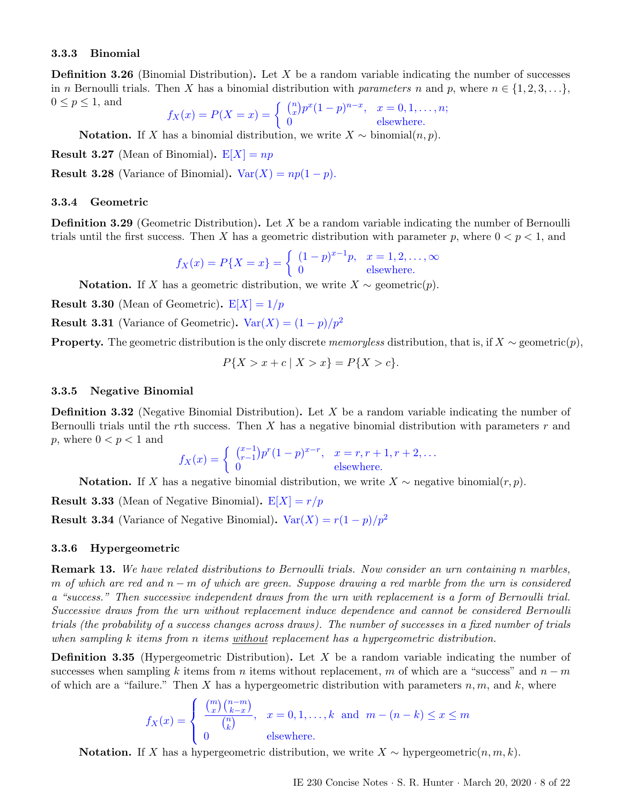#### <span id="page-7-0"></span>3.3.3 Binomial

**Definition 3.26** (Binomial Distribution). Let X be a random variable indicating the number of successes in n Bernoulli trials. Then X has a binomial distribution with parameters n and p, where  $n \in \{1, 2, 3, \ldots\}$ ,  $0 \leq p \leq 1$ , and n x n−x

$$
f_X(x) = P(X = x) = \begin{cases} {n \choose x} p^x (1-p)^{n-x}, & x = 0, 1, ..., n; \\ 0 & \text{elsewhere.} \end{cases}
$$

**Notation.** If X has a binomial distribution, we write  $X \sim$  binomial $(n, p)$ .

**Result 3.27** (Mean of Binomial).  $E[X] = np$ 

**Result 3.28** (Variance of Binomial). Var $(X) = np(1 - p)$ .

#### <span id="page-7-1"></span>3.3.4 Geometric

**Definition 3.29** (Geometric Distribution). Let  $X$  be a random variable indicating the number of Bernoulli trials until the first success. Then X has a geometric distribution with parameter p, where  $0 < p < 1$ , and

$$
f_X(x) = P\{X = x\} = \begin{cases} (1-p)^{x-1}p, & x = 1, 2, ..., \infty \\ 0 & \text{elsewhere.} \end{cases}
$$

**Notation.** If X has a geometric distribution, we write  $X \sim$  geometric $(p)$ .

**Result 3.30** (Mean of Geometric).  $E[X] = 1/p$ 

**Result 3.31** (Variance of Geometric). Var $(X) = (1 - p)/p^2$ 

**Property.** The geometric distribution is the only discrete memoryless distribution, that is, if  $X \sim$  geometric $(p)$ ,

$$
P\{X > x + c \mid X > x\} = P\{X > c\}.
$$

#### <span id="page-7-2"></span>3.3.5 Negative Binomial

**Definition 3.32** (Negative Binomial Distribution). Let X be a random variable indicating the number of Bernoulli trials until the rth success. Then X has a negative binomial distribution with parameters  $r$  and p, where  $0 < p < 1$  and

$$
f_X(x) = \begin{cases} {x-1 \choose r-1} p^r (1-p)^{x-r}, & x = r, r+1, r+2, ... \\ 0 & \text{elsewhere.} \end{cases}
$$

**Notation.** If X has a negative binomial distribution, we write  $X \sim$  negative binomial(r, p).

**Result 3.33** (Mean of Negative Binomial).  $E[X] = r/p$ 

**Result 3.34** (Variance of Negative Binomial). Var $(X) = r(1-p)/p^2$ 

#### <span id="page-7-3"></span>3.3.6 Hypergeometric

Remark 13. We have related distributions to Bernoulli trials. Now consider an urn containing n marbles, m of which are red and  $n - m$  of which are green. Suppose drawing a red marble from the urn is considered a "success." Then successive independent draws from the urn with replacement is a form of Bernoulli trial. Successive draws from the urn without replacement induce dependence and cannot be considered Bernoulli trials (the probability of a success changes across draws). The number of successes in a fixed number of trials when sampling k items from n items without replacement has a hypergeometric distribution.

**Definition 3.35** (Hypergeometric Distribution). Let X be a random variable indicating the number of successes when sampling k items from n items without replacement, m of which are a "success" and  $n - m$ of which are a "failure." Then X has a hypergeometric distribution with parameters  $n, m$ , and k, where

$$
f_X(x) = \begin{cases} \frac{\binom{m}{x}\binom{n-m}{k-x}}{\binom{n}{k}}, & x = 0, 1, \dots, k \text{ and } m - (n-k) \le x \le m\\ 0 & \text{elsewhere.} \end{cases}
$$

Notation. If X has a hypergeometric distribution, we write  $X \sim$  hypergeometric $(n, m, k)$ .

IE 230 Concise Notes · S. R. Hunter · March 20, 2020 · 8 of [22](#page-21-2)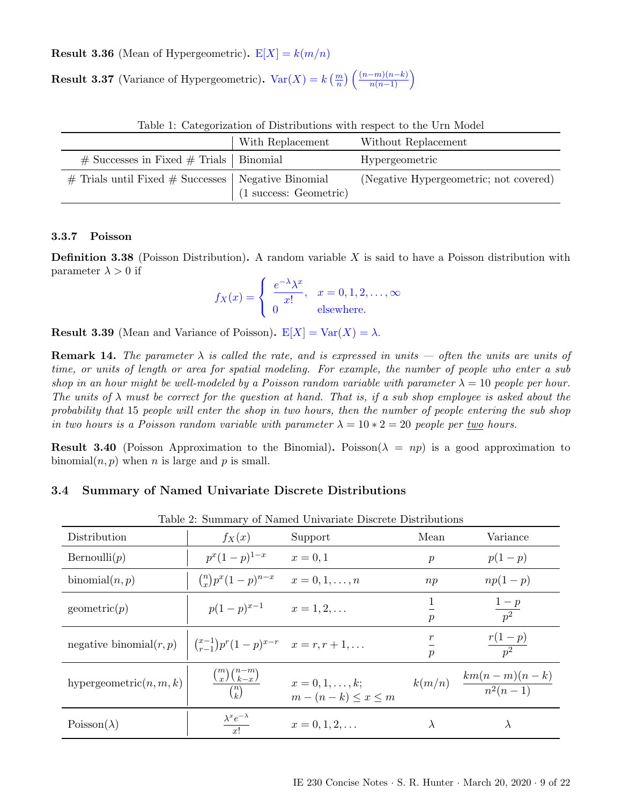**Result 3.36** (Mean of Hypergeometric).  $E[X] = k(m/n)$ 

**Result 3.37** (Variance of Hypergeometric).  $Var(X) = k\left(\frac{m}{n}\right) \left(\frac{(n-m)(n-k)}{n(n-1)}\right)$ 

| Table 1. Categorization of Distributions with respect to the C11 moder |                                  |                                        |  |  |  |  |
|------------------------------------------------------------------------|----------------------------------|----------------------------------------|--|--|--|--|
|                                                                        | With Replacement                 | Without Replacement                    |  |  |  |  |
| $\#$ Successes in Fixed $\#$ Trials   Binomial                         |                                  | Hypergeometric                         |  |  |  |  |
| $\#$ Trials until Fixed $\#$ Successes   Negative Binomial             | $(1 \text{ success: Geometric})$ | (Negative Hypergeometric; not covered) |  |  |  |  |

Table 1: Categorization of Distributions with respect to the Urn Model

# <span id="page-8-0"></span>3.3.7 Poisson

**Definition 3.38** (Poisson Distribution). A random variable  $X$  is said to have a Poisson distribution with parameter  $\lambda > 0$  if

$$
f_X(x) = \begin{cases} \frac{e^{-\lambda}\lambda^x}{x!}, & x = 0, 1, 2, ..., \infty \\ 0 & \text{elsewhere.} \end{cases}
$$

**Result 3.39** (Mean and Variance of Poisson).  $E[X] = Var(X) = \lambda$ .

**Remark 14.** The parameter  $\lambda$  is called the rate, and is expressed in units — often the units are units of time, or units of length or area for spatial modeling. For example, the number of people who enter a sub shop in an hour might be well-modeled by a Poisson random variable with parameter  $\lambda = 10$  people per hour. The units of  $\lambda$  must be correct for the question at hand. That is, if a sub shop employee is asked about the probability that 15 people will enter the shop in two hours, then the number of people entering the sub shop in two hours is a Poisson random variable with parameter  $\lambda = 10 * 2 = 20$  people per two hours.

**Result 3.40** (Poisson Approximation to the Binomial). Poisson( $\lambda = np$ ) is a good approximation to binomial $(n, p)$  when n is large and p is small.

## <span id="page-8-1"></span>3.4 Summary of Named Univariate Discrete Distributions

| Table 2. Summary of Named Univariate Discrete Distributions |                                                           |                                                       |                                   |                                          |  |  |
|-------------------------------------------------------------|-----------------------------------------------------------|-------------------------------------------------------|-----------------------------------|------------------------------------------|--|--|
| Distribution                                                | $f_X(x)$                                                  | Support                                               | Mean                              | Variance                                 |  |  |
| Bernoulli(p)                                                | $p^x(1-p)^{1-x}$                                          | $x = 0, 1$                                            | $\boldsymbol{p}$                  | $p(1-p)$                                 |  |  |
| binomial $(n, p)$                                           | $\binom{n}{x} p^x (1-p)^{n-x}$                            | $x=0,1,\ldots,n$                                      | np                                | $np(1-p)$                                |  |  |
| geometric(p)                                                | $p(1-p)^{x-1}$                                            | $x = 1, 2, \ldots$                                    | $\mathcal{p}$                     | $\frac{1-p}{p^2}$                        |  |  |
| negative binomial $(r, p)$                                  | $\binom{x-1}{r-1} p^r (1-p)^{x-r}$ $x = r, r + 1, \ldots$ |                                                       | $\boldsymbol{r}$<br>$\mathcal{p}$ | $\frac{r(1-p)}{p^2}$                     |  |  |
| hypergeometric $(n, m, k)$                                  | $\frac{\binom{m}{x}\binom{n-m}{k-x}}{\binom{n}{k}}$       | $x = 0, 1, \ldots, k;$<br>$m - (n - k) \leq x \leq m$ |                                   | $k(m/n)$ $\frac{km(n-m)(n-k)}{n^2(n-1)}$ |  |  |
| $Poisson(\lambda)$                                          | $\frac{\lambda^x e^{-\lambda}}{x!}$                       | $x = 0, 1, 2, \ldots$                                 | $\lambda$                         | $\lambda$                                |  |  |

Table 2: Summary of Named Univariate Discrete Distributions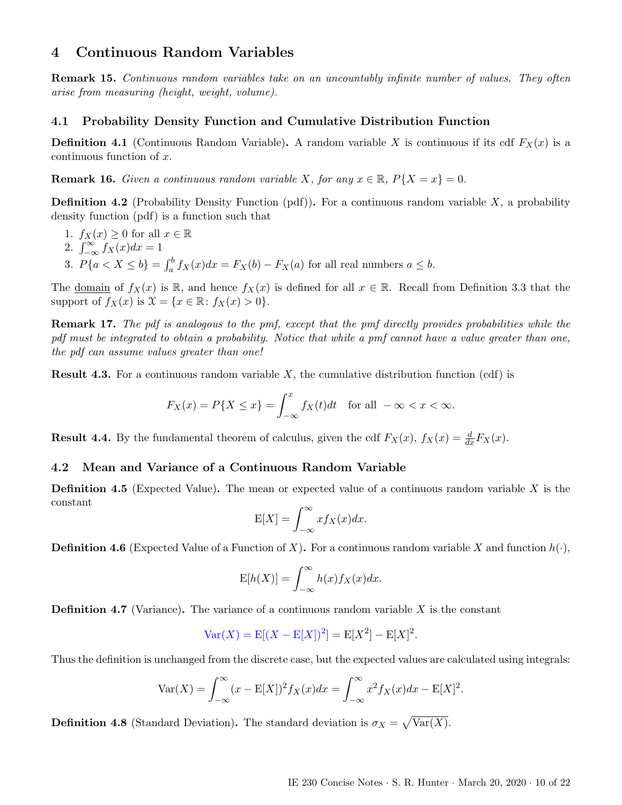# <span id="page-9-0"></span>4 Continuous Random Variables

Remark 15. Continuous random variables take on an uncountably infinite number of values. They often arise from measuring (height, weight, volume).

## <span id="page-9-1"></span>4.1 Probability Density Function and Cumulative Distribution Function

**Definition 4.1** (Continuous Random Variable). A random variable X is continuous if its cdf  $F_X(x)$  is a  $continuous function of x.$ 

**Remark 16.** Given a continuous random variable X, for any  $x \in \mathbb{R}$ ,  $P\{X = x\} = 0$ .

**Definition 4.2** (Probability Density Function (pdf)). For a continuous random variable  $X$ , a probability density function (pdf) is a function such that

- 1.  $f_X(x) \geq 0$  for all  $x \in \mathbb{R}$
- 2.  $\int_{-\infty}^{\infty} f_X(x) dx = 1$
- 3.  $P\{a < X \leq b\} = \int_a^b f_X(x)dx = F_X(b) F_X(a)$  for all real numbers  $a \leq b$ .

The <u>domain</u> of  $f_X(x)$  is R, and hence  $f_X(x)$  is defined for all  $x \in \mathbb{R}$ . Recall from Definition [3.3](#page-5-4) that the support of  $f_X(x)$  is  $\mathcal{X} = \{x \in \mathbb{R} : f_X(x) > 0\}.$ 

Remark 17. The pdf is analogous to the pmf, except that the pmf directly provides probabilities while the pdf must be integrated to obtain a probability. Notice that while a pmf cannot have a value greater than one, the pdf can assume values greater than one!

**Result 4.3.** For a continuous random variable  $X$ , the cumulative distribution function (cdf) is

$$
F_X(x) = P\{X \le x\} = \int_{-\infty}^x f_X(t)dt \quad \text{for all } -\infty < x < \infty.
$$

**Result 4.4.** By the fundamental theorem of calculus, given the cdf  $F_X(x)$ ,  $f_X(x) = \frac{d}{dx}F_X(x)$ .

### <span id="page-9-2"></span>4.2 Mean and Variance of a Continuous Random Variable

**Definition 4.5** (Expected Value). The mean or expected value of a continuous random variable X is the constant

$$
E[X] = \int_{-\infty}^{\infty} x f_X(x) dx.
$$

**Definition 4.6** (Expected Value of a Function of X). For a continuous random variable X and function  $h(\cdot)$ ,

$$
E[h(X)] = \int_{-\infty}^{\infty} h(x) f_X(x) dx.
$$

**Definition 4.7** (Variance). The variance of a continuous random variable  $X$  is the constant

$$
Var(X) = E[(X – E[X])^{2}] = E[X^{2}] – E[X]^{2}.
$$

Thus the definition is unchanged from the discrete case, but the expected values are calculated using integrals:

$$
Var(X) = \int_{-\infty}^{\infty} (x - E[X])^2 f_X(x) dx = \int_{-\infty}^{\infty} x^2 f_X(x) dx - E[X]^2.
$$

**Definition 4.8** (Standard Deviation). The standard deviation is  $\sigma_X = \sqrt{\text{Var}(X)}$ .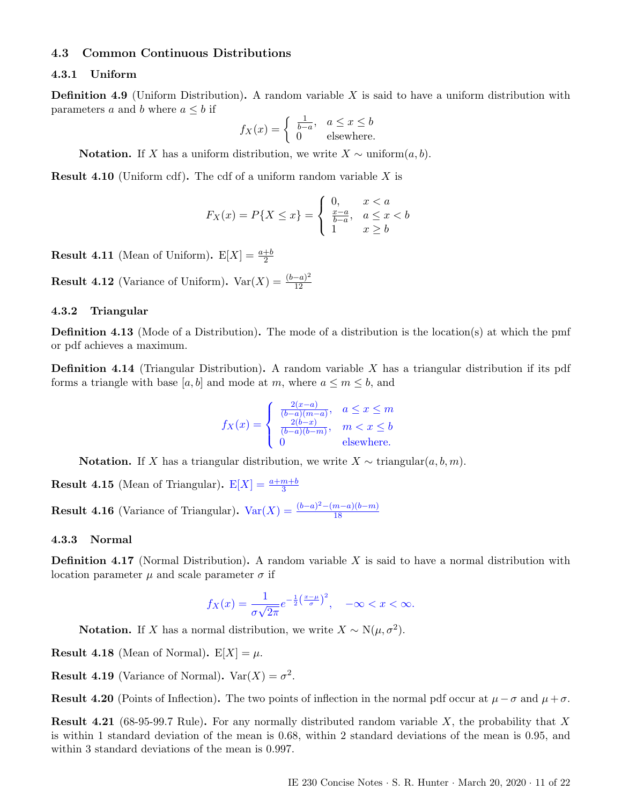#### <span id="page-10-0"></span>4.3 Common Continuous Distributions

#### <span id="page-10-1"></span>4.3.1 Uniform

**Definition 4.9** (Uniform Distribution). A random variable  $X$  is said to have a uniform distribution with parameters a and b where  $a \leq b$  if

$$
f_X(x) = \begin{cases} \frac{1}{b-a}, & a \le x \le b \\ 0 & \text{elsewhere.} \end{cases}
$$

**Notation.** If X has a uniform distribution, we write  $X \sim$  uniform $(a, b)$ .

**Result 4.10** (Uniform cdf). The cdf of a uniform random variable  $X$  is

$$
F_X(x) = P\{X \le x\} = \begin{cases} 0, & x < a \\ \frac{x-a}{b-a}, & a \le x < b \\ 1 & x \ge b \end{cases}
$$

**Result 4.11** (Mean of Uniform).  $E[X] = \frac{a+b}{2}$ 

**Result 4.12** (Variance of Uniform).  $Var(X) = \frac{(b-a)^2}{12}$ 12

#### <span id="page-10-2"></span>4.3.2 Triangular

Definition 4.13 (Mode of a Distribution). The mode of a distribution is the location(s) at which the pmf or pdf achieves a maximum.

**Definition 4.14** (Triangular Distribution). A random variable  $X$  has a triangular distribution if its pdf forms a triangle with base [a, b] and mode at m, where  $a \le m \le b$ , and

$$
f_X(x) = \begin{cases} \frac{2(x-a)}{(b-a)(m-a)}, & a \le x \le m\\ \frac{2(b-x)}{(b-a)(b-m)}, & m < x \le b\\ 0 & \text{elsewhere.} \end{cases}
$$

Notation. If X has a triangular distribution, we write  $X \sim \text{triangular}(a, b, m)$ .

**Result 4.15** (Mean of Triangular).  $E[X] = \frac{a+m+b}{3}$ 

**Result 4.16** (Variance of Triangular).  $Var(X) = \frac{(b-a)^2 - (m-a)(b-m)}{18}$ 18

#### <span id="page-10-3"></span>4.3.3 Normal

**Definition 4.17** (Normal Distribution). A random variable  $X$  is said to have a normal distribution with location parameter  $\mu$  and scale parameter  $\sigma$  if

$$
f_X(x) = \frac{1}{\sigma\sqrt{2\pi}}e^{-\frac{1}{2}\left(\frac{x-\mu}{\sigma}\right)^2}, \quad -\infty < x < \infty.
$$

**Notation.** If X has a normal distribution, we write  $X \sim N(\mu, \sigma^2)$ .

**Result 4.18** (Mean of Normal).  $E[X] = \mu$ .

**Result 4.19** (Variance of Normal).  $Var(X) = \sigma^2$ .

Result 4.20 (Points of Inflection). The two points of inflection in the normal pdf occur at  $\mu - \sigma$  and  $\mu + \sigma$ .

**Result 4.21** (68-95-99.7 Rule). For any normally distributed random variable X, the probability that X is within 1 standard deviation of the mean is 0.68, within 2 standard deviations of the mean is 0.95, and within 3 standard deviations of the mean is 0.997.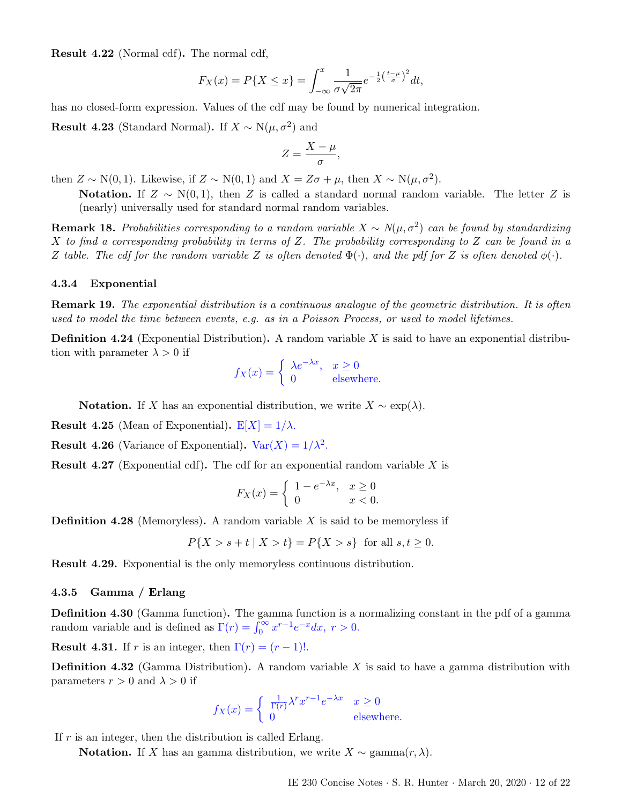Result 4.22 (Normal cdf). The normal cdf,

$$
F_X(x) = P\{X \le x\} = \int_{-\infty}^x \frac{1}{\sigma\sqrt{2\pi}} e^{-\frac{1}{2}\left(\frac{t-\mu}{\sigma}\right)^2} dt,
$$

has no closed-form expression. Values of the cdf may be found by numerical integration.

**Result 4.23** (Standard Normal). If  $X \sim N(\mu, \sigma^2)$  and

$$
Z=\frac{X-\mu}{\sigma},
$$

then  $Z \sim N(0, 1)$ . Likewise, if  $Z \sim N(0, 1)$  and  $X = Z\sigma + \mu$ , then  $X \sim N(\mu, \sigma^2)$ .

Notation. If  $Z \sim N(0, 1)$ , then Z is called a standard normal random variable. The letter Z is (nearly) universally used for standard normal random variables.

**Remark 18.** Probabilities corresponding to a random variable  $X \sim N(\mu, \sigma^2)$  can be found by standardizing  $X$  to find a corresponding probability in terms of  $Z$ . The probability corresponding to  $Z$  can be found in a Z table. The cdf for the random variable Z is often denoted  $\Phi(\cdot)$ , and the pdf for Z is often denoted  $\phi(\cdot)$ .

#### <span id="page-11-0"></span>4.3.4 Exponential

Remark 19. The exponential distribution is a continuous analogue of the geometric distribution. It is often used to model the time between events, e.g. as in a Poisson Process, or used to model lifetimes.

**Definition 4.24** (Exponential Distribution). A random variable  $X$  is said to have an exponential distribution with parameter  $\lambda > 0$  if

$$
f_X(x) = \begin{cases} \lambda e^{-\lambda x}, & x \ge 0 \\ 0 & \text{elsewhere.} \end{cases}
$$

**Notation.** If X has an exponential distribution, we write  $X \sim \exp(\lambda)$ .

**Result 4.25** (Mean of Exponential).  $E[X] = 1/\lambda$ .

**Result 4.26** (Variance of Exponential).  $Var(X) = 1/\lambda^2$ .

**Result 4.27** (Exponential cdf). The cdf for an exponential random variable X is

$$
F_X(x) = \begin{cases} 1 - e^{-\lambda x}, & x \ge 0 \\ 0 & x < 0. \end{cases}
$$

**Definition 4.28** (Memoryless). A random variable X is said to be memoryless if

$$
P\{X > s + t \mid X > t\} = P\{X > s\} \text{ for all } s, t \ge 0.
$$

Result 4.29. Exponential is the only memoryless continuous distribution.

#### <span id="page-11-1"></span>4.3.5 Gamma / Erlang

Definition 4.30 (Gamma function). The gamma function is a normalizing constant in the pdf of a gamma random variable and is defined as  $\Gamma(r) = \int_0^\infty x^{r-1} e^{-x} dx$ ,  $r > 0$ .

**Result 4.31.** If r is an integer, then  $\Gamma(r) = (r-1)!$ .

**Definition 4.32** (Gamma Distribution). A random variable X is said to have a gamma distribution with parameters  $r > 0$  and  $\lambda > 0$  if

$$
f_X(x) = \begin{cases} \frac{1}{\Gamma(r)} \lambda^r x^{r-1} e^{-\lambda x} & x \ge 0\\ 0 & \text{elsewhere.} \end{cases}
$$

If  $r$  is an integer, then the distribution is called Erlang.

Notation. If X has an gamma distribution, we write  $X \sim \text{gamma}(r, \lambda)$ .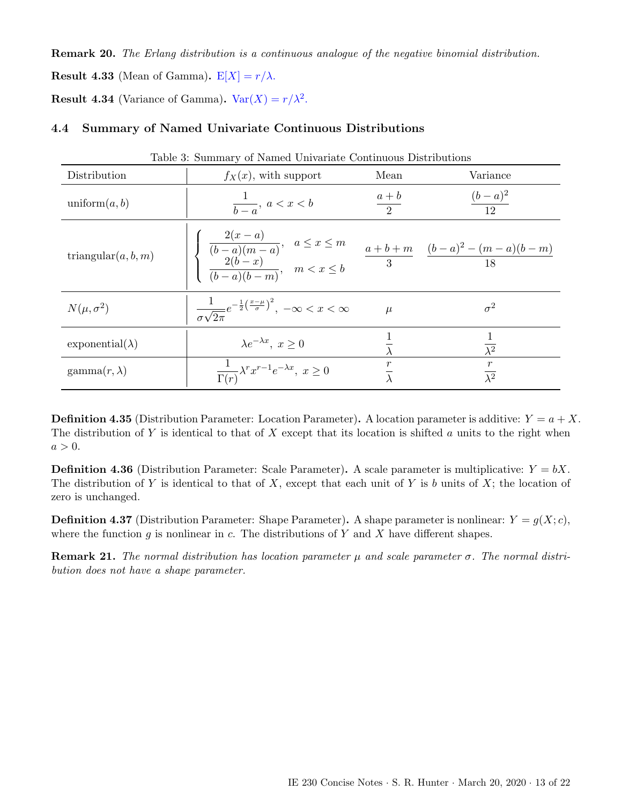Remark 20. The Erlang distribution is a continuous analogue of the negative binomial distribution. **Result 4.33** (Mean of Gamma).  $E[X] = r/\lambda$ .

**Result 4.34** (Variance of Gamma).  $Var(X) = r/\lambda^2$ .

# <span id="page-12-0"></span>4.4 Summary of Named Univariate Continuous Distributions

| Table 5: Summary of Named Univariate Continuous Distributions |                                                                                                                                                                                                        |                 |                        |  |  |  |
|---------------------------------------------------------------|--------------------------------------------------------------------------------------------------------------------------------------------------------------------------------------------------------|-----------------|------------------------|--|--|--|
| Distribution                                                  | $f_X(x)$ , with support                                                                                                                                                                                | Mean            | Variance               |  |  |  |
| uniform $(a, b)$                                              | $\frac{1}{b-a}$ , $a < x < b$                                                                                                                                                                          | $\frac{a+b}{2}$ | $\frac{(b-a)^2}{12}$   |  |  |  |
| triangular $(a, b, m)$                                        | $\left \left\{\begin{array}{cc}\frac{2(x-a)}{(b-a)(m-a)}, & a\leq x\leq m\\ \frac{2(b-x)}{(b-a)(b-m)}, & m< x\leq b\end{array}\right.\right.\quad \frac{a+b+m}{3} \quad \frac{(b-a)^2-(m-a)(b-m)}{18}$ |                 |                        |  |  |  |
| $N(\mu, \sigma^2)$                                            | $\frac{1}{\sigma\sqrt{2\pi}}e^{-\frac{1}{2}\left(\frac{x-\mu}{\sigma}\right)^2}, \ -\infty < x < \infty$                                                                                               | $\mu$           | $\sigma^2$             |  |  |  |
| exponential( $\lambda$ )                                      | $\lambda e^{-\lambda x}, x > 0$                                                                                                                                                                        |                 | $\overline{\lambda^2}$ |  |  |  |
| $\text{gamma}(r, \lambda)$                                    | $\frac{1}{\Gamma(r)} \lambda^r x^{r-1} e^{-\lambda x}, \ x \geq 0$                                                                                                                                     |                 | $\frac{r}{\lambda^2}$  |  |  |  |

Table 3: Summary of Named Univariate Continuous Distributions

**Definition 4.35** (Distribution Parameter: Location Parameter). A location parameter is additive:  $Y = a + X$ . The distribution of Y is identical to that of X except that its location is shifted a units to the right when  $a > 0$ .

**Definition 4.36** (Distribution Parameter: Scale Parameter). A scale parameter is multiplicative:  $Y = bX$ . The distribution of Y is identical to that of X, except that each unit of Y is b units of X; the location of zero is unchanged.

**Definition 4.37** (Distribution Parameter: Shape Parameter). A shape parameter is nonlinear:  $Y = g(X; c)$ , where the function g is nonlinear in c. The distributions of Y and X have different shapes.

**Remark 21.** The normal distribution has location parameter  $\mu$  and scale parameter  $\sigma$ . The normal distribution does not have a shape parameter.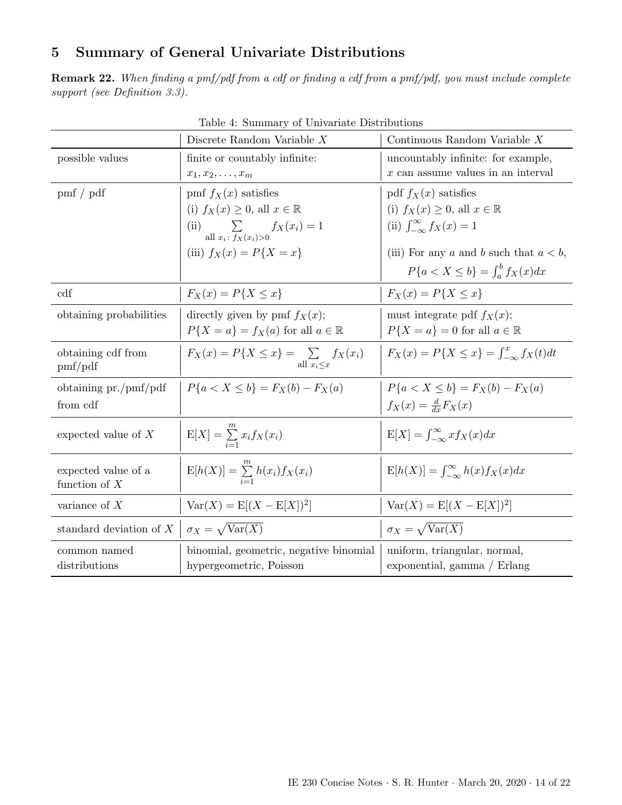# <span id="page-13-0"></span>5 Summary of General Univariate Distributions

Remark 22. When finding a pmf/pdf from a cdf or finding a cdf from a pmf/pdf, you must include complete support (see Definition [3.3\)](#page-5-4).

|                                        | $\frac{1}{2}$ . Dammary or Omvariate Distribution<br>Discrete Random Variable $X$ | Continuous Random Variable X                         |  |  |
|----------------------------------------|-----------------------------------------------------------------------------------|------------------------------------------------------|--|--|
| possible values                        | finite or countably infinite:                                                     | uncountably infinite: for example,                   |  |  |
|                                        | $x_1, x_2, \ldots, x_m$                                                           | $x$ can assume values in an interval                 |  |  |
| pmf / pdf                              | pmf $f_X(x)$ satisfies                                                            | pdf $f_X(x)$ satisfies                               |  |  |
|                                        | (i) $f_X(x) \geq 0$ , all $x \in \mathbb{R}$                                      | (i) $f_X(x) \geq 0$ , all $x \in \mathbb{R}$         |  |  |
|                                        | (ii) all $\sum_{x_i : f_X(x_i) > 0} f_X(x_i) = 1$                                 | (ii) $\int_{-\infty}^{\infty} f_X(x) = 1$            |  |  |
|                                        | (iii) $f_X(x) = P\{X = x\}$                                                       | (iii) For any a and b such that $a < b$ ,            |  |  |
|                                        |                                                                                   | $P\{a < X \leq b\} = \int_{a}^{b} f_X(x) dx$         |  |  |
| cdf                                    | $F_X(x) = P\{X \le x\}$                                                           | $F_X(x) = P\{X \leq x\}$                             |  |  |
| obtaining probabilities                | directly given by pmf $f_X(x)$ ;                                                  | must integrate pdf $f_X(x)$ ;                        |  |  |
|                                        | $P{X = a} = f_X(a)$ for all $a \in \mathbb{R}$                                    | $P{X = a} = 0$ for all $a \in \mathbb{R}$            |  |  |
| obtaining cdf from<br>$pmf$ pdf        | $F_X(x) = P\{X \le x\} = \sum f_X(x_i)$<br>all $x_i{\leq}x$                       | $F_X(x) = P\{X \le x\} = \int_{-\infty}^x f_X(t) dt$ |  |  |
| obtaining $pr./pmf$                    | $P{a < X < b} = F_X(b) - F_X(a)$                                                  | $P{a < X < b} = F_X(b) - F_X(a)$                     |  |  |
| from cdf                               |                                                                                   | $f_X(x) = \frac{d}{dx} F_X(x)$                       |  |  |
| expected value of $X$                  | $E[X] = \sum_{i=1}^{m} x_i f_X(x_i)$                                              | $E[X] = \int_{-\infty}^{\infty} x f_X(x) dx$         |  |  |
| expected value of a<br>function of $X$ | $E[h(X)] = \sum_{i=1}^{m} h(x_i) f_X(x_i)$                                        | $E[h(X)] = \int_{-\infty}^{\infty} h(x) f_X(x) dx$   |  |  |
| variance of $X$                        | $Var(X) = E[(X - E[X])^{2}]$                                                      | $Var(X) = E[(X - E[X])^{2}]$                         |  |  |
| standard deviation of $X$              | $\sigma_X = \sqrt{\text{Var}(X)}$                                                 | $\sigma_X = \sqrt{\text{Var}(X)}$                    |  |  |
| common named                           | binomial, geometric, negative binomial                                            | uniform, triangular, normal,                         |  |  |
| distributions                          | hypergeometric, Poisson                                                           | exponential, gamma / Erlang                          |  |  |

Table 4: Summary of Univariate Distributions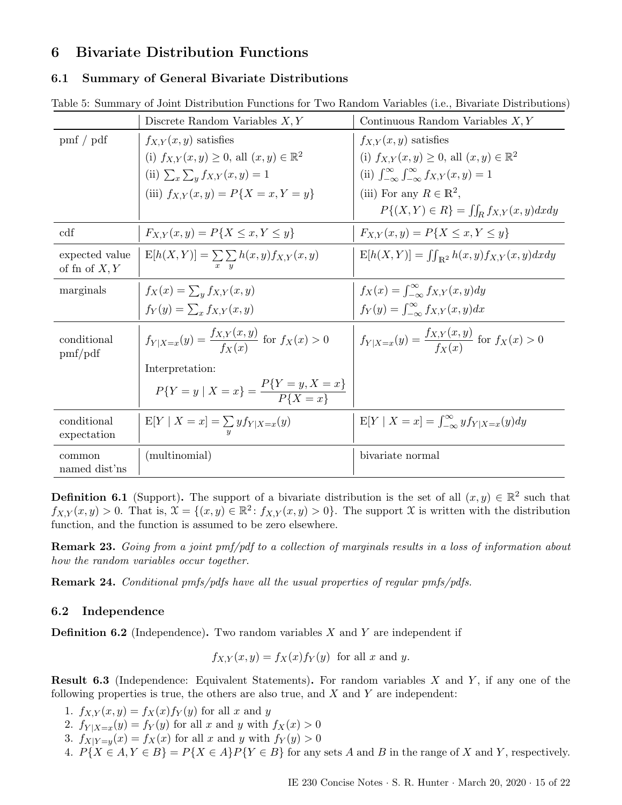# <span id="page-14-0"></span>6 Bivariate Distribution Functions

#### <span id="page-14-1"></span>6.1 Summary of General Bivariate Distributions

<span id="page-14-3"></span>

|  |  |  |  |  | Table 5: Summary of Joint Distribution Functions for Two Random Variables (i.e., Bivariate Distributions) |
|--|--|--|--|--|-----------------------------------------------------------------------------------------------------------|
|  |  |  |  |  |                                                                                                           |

|                                        | Discrete Random Variables $X, Y$                                | Continuous Random Variables $X, Y$                                       |
|----------------------------------------|-----------------------------------------------------------------|--------------------------------------------------------------------------|
| $\text{pmf}$ / $\text{pdf}$            | $f_{X,Y}(x,y)$ satisfies                                        | $f_{X,Y}(x,y)$ satisfies                                                 |
|                                        | (i) $f_{X,Y}(x, y) \ge 0$ , all $(x, y) \in \mathbb{R}^2$       | (i) $f_{X,Y}(x,y) \ge 0$ , all $(x,y) \in \mathbb{R}^2$                  |
|                                        | (ii) $\sum_{x} \sum_{y} f_{X,Y}(x,y) = 1$                       | (ii) $\int_{-\infty}^{\infty} \int_{-\infty}^{\infty} f_{X,Y}(x, y) = 1$ |
|                                        | (iii) $f_{X,Y}(x,y) = P\{X = x, Y = y\}$                        | (iii) For any $R \in \mathbb{R}^2$ ,                                     |
|                                        |                                                                 | $P\{(X,Y) \in R\} = \iint_R f_{X,Y}(x,y) dxdy$                           |
| cdf                                    | $F_{X,Y}(x,y) = P\{X \leq x, Y \leq y\}$                        | $F_{X,Y}(x,y) = P\{X \leq x, Y \leq y\}$                                 |
| expected value<br>of fn of $X, Y$      | $E[h(X, Y)] = \sum \sum h(x, y) f_{X,Y}(x, y)$                  | $E[h(X,Y)] = \iint_{\mathbb{R}^2} h(x,y) f_{X,Y}(x,y) dx dy$             |
| marginals                              | $f_X(x) = \sum_{y} f_{X,Y}(x,y)$                                | $f_X(x) = \int_{-\infty}^{\infty} f_{X,Y}(x, y) dy$                      |
|                                        | $f_Y(y) = \sum_x f_{X,Y}(x, y)$                                 | $f_Y(y) = \int_{-\infty}^{\infty} f_{X,Y}(x, y) dx$                      |
| conditional<br>$\text{pmf}/\text{pdf}$ | $f_{Y X=x}(y) = \frac{f_{X,Y}(x,y)}{f_{Y}(x)}$ for $f_X(x) > 0$ | $f_{Y X=x}(y) = \frac{f_{X,Y}(x,y)}{f_{\mathbf{v}}(x)}$ for $f_X(x) > 0$ |
|                                        | Interpretation:                                                 |                                                                          |
|                                        | $P{Y = y   X = x} = \frac{P{Y = y, X = x}}{P{X = x}}$           |                                                                          |
| conditional<br>expectation             | $E[Y \mid X = x] = \sum_{y} y f_{Y X=x}(y)$                     | $E[Y \mid X = x] = \int_{-\infty}^{\infty} y f_{Y X=x}(y) dy$            |
| common<br>named dist'ns                | (multinomial)                                                   | bivariate normal                                                         |

**Definition 6.1** (Support). The support of a bivariate distribution is the set of all  $(x, y) \in \mathbb{R}^2$  such that  $f_{X,Y}(x,y) > 0$ . That is,  $\mathfrak{X} = \{(x,y) \in \mathbb{R}^2 \colon f_{X,Y}(x,y) > 0\}$ . The support X is written with the distribution function, and the function is assumed to be zero elsewhere.

Remark 23. Going from a joint pmf/pdf to a collection of marginals results in a loss of information about how the random variables occur together.

Remark 24. Conditional pmfs/pdfs have all the usual properties of regular pmfs/pdfs.

#### <span id="page-14-2"></span>6.2 Independence

**Definition 6.2** (Independence). Two random variables X and Y are independent if

 $f_{X,Y}(x,y) = f_X(x) f_Y(y)$  for all x and y.

**Result 6.3** (Independence: Equivalent Statements). For random variables  $X$  and  $Y$ , if any one of the following properties is true, the others are also true, and  $X$  and  $Y$  are independent:

- 1.  $f_{X,Y}(x,y) = f_X(x) f_Y(y)$  for all x and y
- 2.  $f_{Y|X=x}(y) = f_Y(y)$  for all x and y with  $f_X(x) > 0$
- 3.  $f_{X|Y=y}(x) = f_X(x)$  for all x and y with  $f_Y(y) > 0$
- 4.  $P{X \in A, Y \in B} = P{X \in A}P{Y \in B}$  for any sets A and B in the range of X and Y, respectively.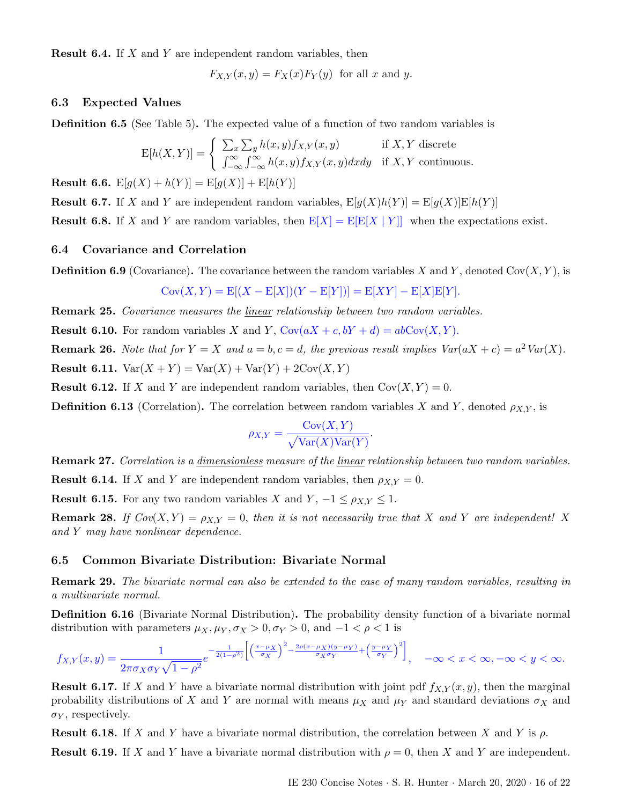**Result 6.4.** If X and Y are independent random variables, then

$$
F_{X,Y}(x,y) = F_X(x)F_Y(y) \text{ for all } x \text{ and } y.
$$

### <span id="page-15-0"></span>6.3 Expected Values

Definition 6.5 (See Table [5\)](#page-14-3). The expected value of a function of two random variables is

$$
E[h(X,Y)] = \begin{cases} \sum_{x} \sum_{y} h(x,y) f_{X,Y}(x,y) & \text{if } X, Y \text{ discrete} \\ \int_{-\infty}^{\infty} \int_{-\infty}^{\infty} h(x,y) f_{X,Y}(x,y) dx dy & \text{if } X, Y \text{ continuous.} \end{cases}
$$

**Result 6.6.**  $E[g(X) + h(Y)] = E[g(X)] + E[h(Y)]$ 

**Result 6.7.** If X and Y are independent random variables,  $E[g(X)h(Y)] = E[g(X)]E[h(Y)]$ 

**Result 6.8.** If X and Y are random variables, then  $E[X] = E[E[X | Y]]$  when the expectations exist.

### <span id="page-15-1"></span>6.4 Covariance and Correlation

**Definition 6.9** (Covariance). The covariance between the random variables X and Y, denoted  $Cov(X, Y)$ , is

$$
Cov(X, Y) = E[(X - E[X])(Y - E[Y])] = E[XY] - E[X]E[Y].
$$

Remark 25. Covariance measures the linear relationship between two random variables.

**Result 6.10.** For random variables X and Y,  $Cov(aX + c, bY + d) = abCov(X, Y)$ .

**Remark 26.** Note that for  $Y = X$  and  $a = b, c = d$ , the previous result implies  $Var(aX + c) = a^2 Var(X)$ .

**Result 6.11.**  $Var(X + Y) = Var(X) + Var(Y) + 2Cov(X, Y)$ 

**Result 6.12.** If X and Y are independent random variables, then  $Cov(X, Y) = 0$ .

**Definition 6.13** (Correlation). The correlation between random variables X and Y, denoted  $\rho_{X,Y}$ , is

$$
\rho_{X,Y} = \frac{\text{Cov}(X,Y)}{\sqrt{\text{Var}(X)\text{Var}(Y)}}.
$$

Remark 27. Correlation is a dimensionless measure of the linear relationship between two random variables.

**Result 6.14.** If X and Y are independent random variables, then  $\rho_{X,Y} = 0$ .

**Result 6.15.** For any two random variables X and  $Y$ ,  $-1 \leq \rho_{X,Y} \leq 1$ .

**Remark 28.** If  $Cov(X, Y) = \rho_{X,Y} = 0$ , then it is not necessarily true that X and Y are independent! X and Y may have nonlinear dependence.

#### <span id="page-15-2"></span>6.5 Common Bivariate Distribution: Bivariate Normal

Remark 29. The bivariate normal can also be extended to the case of many random variables, resulting in a multivariate normal.

Definition 6.16 (Bivariate Normal Distribution). The probability density function of a bivariate normal distribution with parameters  $\mu_X, \mu_Y, \sigma_X > 0, \sigma_Y > 0$ , and  $-1 < \rho < 1$  is

$$
f_{X,Y}(x,y) = \frac{1}{2\pi\sigma_X\sigma_Y\sqrt{1-\rho^2}}e^{-\frac{1}{2(1-\rho^2)}\left[\left(\frac{x-\mu_X}{\sigma_X}\right)^2 - \frac{2\rho(x-\mu_X)(y-\mu_Y)}{\sigma_X\sigma_Y} + \left(\frac{y-\mu_Y}{\sigma_Y}\right)^2\right]}, \quad -\infty < x < \infty, -\infty < y < \infty.
$$

**Result 6.17.** If X and Y have a bivariate normal distribution with joint pdf  $f_{X,Y}(x, y)$ , then the marginal probability distributions of X and Y are normal with means  $\mu_X$  and  $\mu_Y$  and standard deviations  $\sigma_X$  and  $\sigma_Y$ , respectively.

**Result 6.18.** If X and Y have a bivariate normal distribution, the correlation between X and Y is  $\rho$ .

**Result 6.19.** If X and Y have a bivariate normal distribution with  $\rho = 0$ , then X and Y are independent.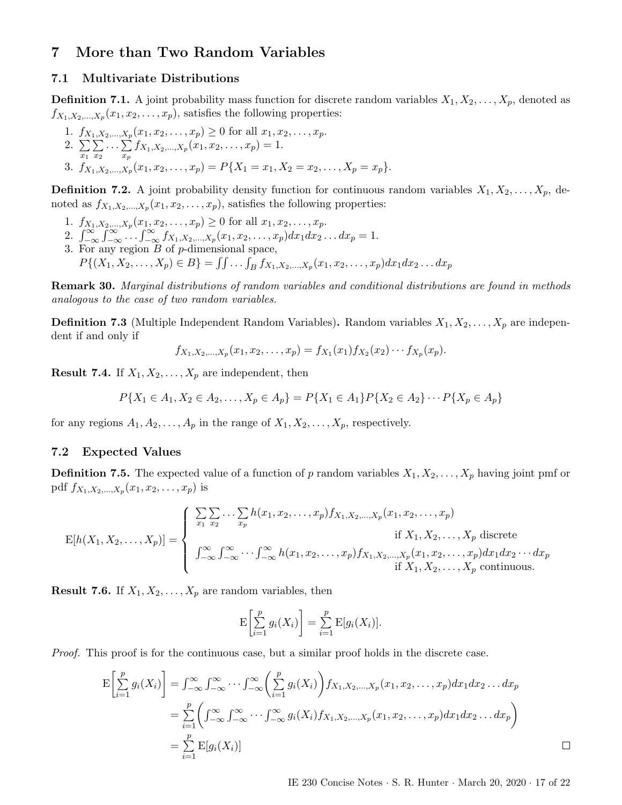# <span id="page-16-0"></span>7 More than Two Random Variables

## <span id="page-16-1"></span>7.1 Multivariate Distributions

**Definition 7.1.** A joint probability mass function for discrete random variables  $X_1, X_2, \ldots, X_p$ , denoted as  $f_{X_1, X_2, \dots, X_p}(x_1, x_2, \dots, x_p)$ , satisfies the following properties:

1. 
$$
f_{X_1, X_2, ..., X_p}(x_1, x_2, ..., x_p) \ge 0
$$
 for all  $x_1, x_2, ..., x_p$ .  
\n2.  $\sum_{x_1} \sum_{x_2} ... \sum_{x_p} f_{X_1, X_2, ..., X_p}(x_1, x_2, ..., x_p) = 1$ .  
\n3.  $f_{X_1, X_2, ..., X_p}(x_1, x_2, ..., x_p) = P\{X_1 = x_1, X_2 = x_2, ..., X_p = x_p\}$ .

**Definition 7.2.** A joint probability density function for continuous random variables  $X_1, X_2, \ldots, X_p$ , denoted as  $f_{X_1, X_2, ..., X_p}(x_1, x_2, ..., x_p)$ , satisfies the following properties:

- 1.  $f_{X_1, X_2, \dots, X_p}(x_1, x_2, \dots, x_p) \geq 0$  for all  $x_1, x_2, \dots, x_p$ .
- 2.  $\int_{-\infty}^{\infty}\int_{-\infty}^{\infty}... \int_{-\infty}^{\infty} f_{X_1,X_2,...,X_p}(x_1,x_2,...,x_p)dx_1dx_2...dx_p = 1.$
- 3. For any region  $B$  of  $p$ -dimensional space,

 $P\{(X_1, X_2, \ldots, X_p) \in B\} = \iint \ldots \int_B f_{X_1, X_2, \ldots, X_p}(x_1, x_2, \ldots, x_p) dx_1 dx_2 \ldots dx_p$ 

Remark 30. Marginal distributions of random variables and conditional distributions are found in methods analogous to the case of two random variables.

**Definition 7.3** (Multiple Independent Random Variables). Random variables  $X_1, X_2, \ldots, X_p$  are independent if and only if

$$
f_{X_1,X_2,...,X_p}(x_1,x_2,...,x_p) = f_{X_1}(x_1)f_{X_2}(x_2)\cdots f_{X_p}(x_p).
$$

**Result 7.4.** If  $X_1, X_2, \ldots, X_p$  are independent, then

$$
P\{X_1 \in A_1, X_2 \in A_2, \dots, X_p \in A_p\} = P\{X_1 \in A_1\} P\{X_2 \in A_2\} \cdots P\{X_p \in A_p\}
$$

for any regions  $A_1, A_2, \ldots, A_p$  in the range of  $X_1, X_2, \ldots, X_p$ , respectively.

### <span id="page-16-2"></span>7.2 Expected Values

**Definition 7.5.** The expected value of a function of p random variables  $X_1, X_2, \ldots, X_p$  having joint pmf or pdf  $f_{X_1, X_2, ..., X_p}(x_1, x_2, ..., x_p)$  is

$$
E[h(X_1, X_2, ..., X_p)] = \begin{cases} \sum_{x_1} \sum_{x_2} ... \sum_{x_p} h(x_1, x_2, ..., x_p) f_{X_1, X_2, ..., X_p}(x_1, x_2, ..., x_p) & \text{if } X_1, X_2, ..., X_p \text{ discrete} \\ \int_{-\infty}^{\infty} \int_{-\infty}^{\infty} ... \int_{-\infty}^{\infty} h(x_1, x_2, ..., x_p) f_{X_1, X_2, ..., X_p}(x_1, x_2, ..., x_p) dx_1 dx_2 ... dx_p & \text{if } X_1, X_2, ..., X_p \text{ continuous.} \end{cases}
$$

**Result 7.6.** If  $X_1, X_2, \ldots, X_p$  are random variables, then

$$
\mathrm{E}\left[\sum_{i=1}^p g_i(X_i)\right] = \sum_{i=1}^p \mathrm{E}[g_i(X_i)].
$$

Proof. This proof is for the continuous case, but a similar proof holds in the discrete case.

$$
E\left[\sum_{i=1}^p g_i(X_i)\right] = \int_{-\infty}^{\infty} \int_{-\infty}^{\infty} \cdots \int_{-\infty}^{\infty} \left(\sum_{i=1}^p g_i(X_i)\right) f_{X_1, X_2, \dots, X_p}(x_1, x_2, \dots, x_p) dx_1 dx_2 \dots dx_p
$$
  
\n
$$
= \sum_{i=1}^p \left(\int_{-\infty}^{\infty} \int_{-\infty}^{\infty} \cdots \int_{-\infty}^{\infty} g_i(X_i) f_{X_1, X_2, \dots, X_p}(x_1, x_2, \dots, x_p) dx_1 dx_2 \dots dx_p\right)
$$
  
\n
$$
= \sum_{i=1}^p E[g_i(X_i)]
$$

IE 230 Concise Notes · S. R. Hunter · March 20, 2020 · 17 of [22](#page-21-2)

 $\Box$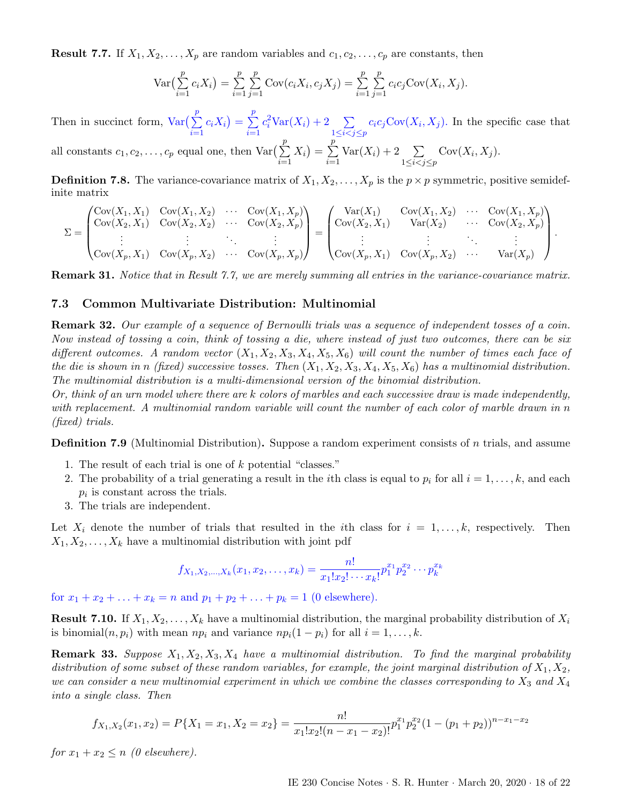<span id="page-17-1"></span>**Result 7.7.** If  $X_1, X_2, \ldots, X_p$  are random variables and  $c_1, c_2, \ldots, c_p$  are constants, then

$$
\text{Var}\left(\sum_{i=1}^p c_i X_i\right) = \sum_{i=1}^p \sum_{j=1}^p \text{Cov}(c_i X_i, c_j X_j) = \sum_{i=1}^p \sum_{j=1}^p c_i c_j \text{Cov}(X_i, X_j).
$$

Then in succinct form,  $Var(\sum_{ }^{p}$  $i=1$  $c_i X_i$ ) =  $\sum$ p  $i=1$  $c_i^2 \text{Var}(X_i) + 2 \sum_{1 \leq i < j \leq p}$  $c_i c_j \text{Cov}(X_i, X_j)$ . In the specific case that all constants  $c_1, c_2, \ldots, c_p$  equal one, then  $\text{Var}(\sum^p)$  $i=1$  $(X_i) = \sum$ p  $i=1$  $Var(X_i) + 2 \quad \sum$  $1 \leq i < j \leq p$  $Cov(X_i, X_j).$ 

**Definition 7.8.** The variance-covariance matrix of  $X_1, X_2, \ldots, X_p$  is the  $p \times p$  symmetric, positive semidefinite matrix

$$
\Sigma = \begin{pmatrix}\n\text{Cov}(X_1, X_1) & \text{Cov}(X_1, X_2) & \cdots & \text{Cov}(X_1, X_p) \\
\text{Cov}(X_2, X_1) & \text{Cov}(X_2, X_2) & \cdots & \text{Cov}(X_2, X_p) \\
\vdots & \vdots & \ddots & \vdots \\
\text{Cov}(X_p, X_1) & \text{Cov}(X_p, X_2) & \cdots & \text{Cov}(X_p, X_p)\n\end{pmatrix}\n=\n\begin{pmatrix}\n\text{Var}(X_1) & \text{Cov}(X_1, X_2) & \cdots & \text{Cov}(X_1, X_p) \\
\text{Cov}(X_2, X_1) & \text{Var}(X_2) & \cdots & \text{Cov}(X_2, X_p) \\
\vdots & \vdots & \ddots & \vdots \\
\text{Cov}(X_p, X_1) & \text{Cov}(X_p, X_2) & \cdots & \text{Var}(X_p)\n\end{pmatrix}.
$$

Remark 31. Notice that in Result [7.7,](#page-17-1) we are merely summing all entries in the variance-covariance matrix.

#### <span id="page-17-0"></span>7.3 Common Multivariate Distribution: Multinomial

Remark 32. Our example of a sequence of Bernoulli trials was a sequence of independent tosses of a coin. Now instead of tossing a coin, think of tossing a die, where instead of just two outcomes, there can be six different outcomes. A random vector  $(X_1, X_2, X_3, X_4, X_5, X_6)$  will count the number of times each face of the die is shown in n (fixed) successive tosses. Then  $(X_1, X_2, X_3, X_4, X_5, X_6)$  has a multinomial distribution. The multinomial distribution is a multi-dimensional version of the binomial distribution.

Or, think of an urn model where there are k colors of marbles and each successive draw is made independently, with replacement. A multinomial random variable will count the number of each color of marble drawn in n (fixed) trials.

**Definition 7.9** (Multinomial Distribution). Suppose a random experiment consists of n trials, and assume

- 1. The result of each trial is one of k potential "classes."
- 2. The probability of a trial generating a result in the *i*th class is equal to  $p_i$  for all  $i = 1, \ldots, k$ , and each  $p_i$  is constant across the trials.
- 3. The trials are independent.

Let  $X_i$  denote the number of trials that resulted in the *i*th class for  $i = 1, \ldots, k$ , respectively. Then  $X_1, X_2, \ldots, X_k$  have a multinomial distribution with joint pdf

$$
f_{X_1, X_2, \dots, X_k}(x_1, x_2, \dots, x_k) = \frac{n!}{x_1! x_2! \cdots x_k!} p_1^{x_1} p_2^{x_2} \cdots p_k^{x_k}
$$

for  $x_1 + x_2 + \ldots + x_k = n$  and  $p_1 + p_2 + \ldots + p_k = 1$  (0 elsewhere).

**Result 7.10.** If  $X_1, X_2, \ldots, X_k$  have a multinomial distribution, the marginal probability distribution of  $X_i$ is binomial $(n, p_i)$  with mean  $np_i$  and variance  $np_i(1 - p_i)$  for all  $i = 1, ..., k$ .

**Remark 33.** Suppose  $X_1, X_2, X_3, X_4$  have a multinomial distribution. To find the marginal probability distribution of some subset of these random variables, for example, the joint marginal distribution of  $X_1, X_2$ , we can consider a new multinomial experiment in which we combine the classes corresponding to  $X_3$  and  $X_4$ into a single class. Then

$$
f_{X_1,X_2}(x_1,x_2) = P\{X_1 = x_1, X_2 = x_2\} = \frac{n!}{x_1!x_2!(n-x_1-x_2)!}p_1^{x_1}p_2^{x_2}(1-(p_1+p_2))^{n-x_1-x_2}
$$

for  $x_1 + x_2 \leq n$  (0 elsewhere).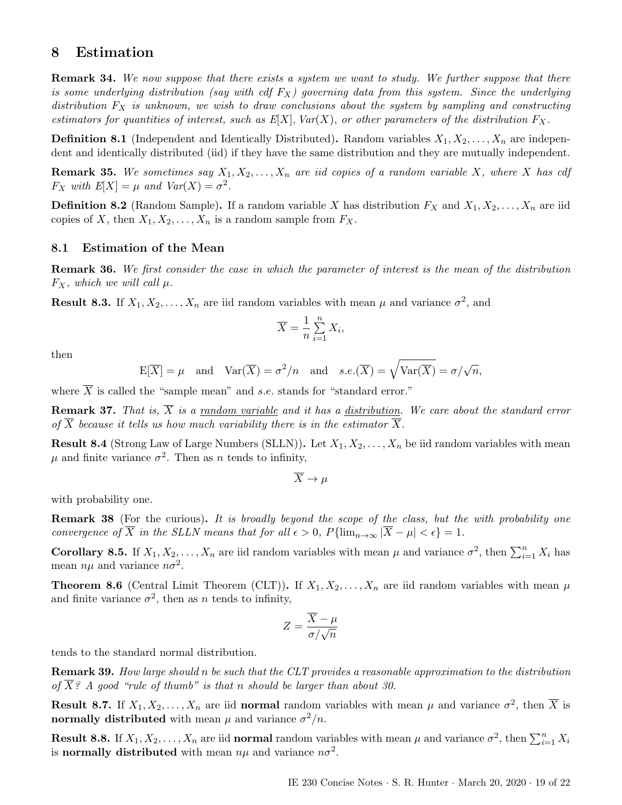# <span id="page-18-0"></span>8 Estimation

Remark 34. We now suppose that there exists a system we want to study. We further suppose that there is some underlying distribution (say with cdf  $F_X$ ) governing data from this system. Since the underlying distribution  $F_X$  is unknown, we wish to draw conclusions about the system by sampling and constructing estimators for quantities of interest, such as  $E[X]$ ,  $Var(X)$ , or other parameters of the distribution  $F_X$ .

**Definition 8.1** (Independent and Identically Distributed). Random variables  $X_1, X_2, \ldots, X_n$  are independent and identically distributed (iid) if they have the same distribution and they are mutually independent.

**Remark 35.** We sometimes say  $X_1, X_2, \ldots, X_n$  are iid copies of a random variable X, where X has cdf  $F_X$  with  $E[X] = \mu$  and  $Var(X) = \sigma^2$ .

**Definition 8.2** (Random Sample). If a random variable X has distribution  $F_X$  and  $X_1, X_2, \ldots, X_n$  are iid copies of X, then  $X_1, X_2, \ldots, X_n$  is a random sample from  $F_X$ .

#### <span id="page-18-1"></span>8.1 Estimation of the Mean

Remark 36. We first consider the case in which the parameter of interest is the mean of the distribution  $F_X$ , which we will call  $\mu$ .

**Result 8.3.** If  $X_1, X_2, \ldots, X_n$  are iid random variables with mean  $\mu$  and variance  $\sigma^2$ , and

$$
\overline{X} = \frac{1}{n} \sum_{i=1}^{n} X_i,
$$

then

$$
E[\overline{X}] = \mu
$$
 and  $Var(\overline{X}) = \sigma^2/n$  and  $s.e.(\overline{X}) = \sqrt{Var(\overline{X})} = \sigma/\sqrt{n}$ ,

where  $\overline{X}$  is called the "sample mean" and s.e. stands for "standard error."

**Remark 37.** That is,  $\overline{X}$  is a random variable and it has a distribution. We care about the standard error of  $\overline{X}$  because it tells us how much variability there is in the estimator  $\overline{X}$ .

**Result 8.4** (Strong Law of Large Numbers (SLLN)). Let  $X_1, X_2, \ldots, X_n$  be iid random variables with mean  $\mu$  and finite variance  $\sigma^2$ . Then as n tends to infinity,

 $\overline{X} \to \mu$ 

with probability one.

**Remark 38** (For the curious). It is broadly beyond the scope of the class, but the with probability one convergence of  $\overline{X}$  in the SLLN means that for all  $\epsilon > 0$ ,  $P\{\lim_{n\to\infty}|\overline{X}-\mu| < \epsilon\} = 1$ .

**Corollary 8.5.** If  $X_1, X_2, \ldots, X_n$  are iid random variables with mean  $\mu$  and variance  $\sigma^2$ , then  $\sum_{i=1}^n X_i$  has mean  $n\mu$  and variance  $n\sigma^2$ .

**Theorem 8.6** (Central Limit Theorem (CLT)). If  $X_1, X_2, \ldots, X_n$  are iid random variables with mean  $\mu$ and finite variance  $\sigma^2$ , then as *n* tends to infinity,

$$
Z = \frac{\overline{X} - \mu}{\sigma / \sqrt{n}}
$$

tends to the standard normal distribution.

Remark 39. How large should n be such that the CLT provides a reasonable approximation to the distribution of  $\overline{X}$ ? A good "rule of thumb" is that n should be larger than about 30.

**Result 8.7.** If  $X_1, X_2, \ldots, X_n$  are iid normal random variables with mean  $\mu$  and variance  $\sigma^2$ , then  $\overline{X}$  is normally distributed with mean  $\mu$  and variance  $\sigma^2/n$ .

**Result 8.8.** If  $X_1, X_2, \ldots, X_n$  are iid **normal** random variables with mean  $\mu$  and variance  $\sigma^2$ , then  $\sum_{i=1}^n X_i$ is normally distributed with mean  $n\mu$  and variance  $n\sigma^2$ .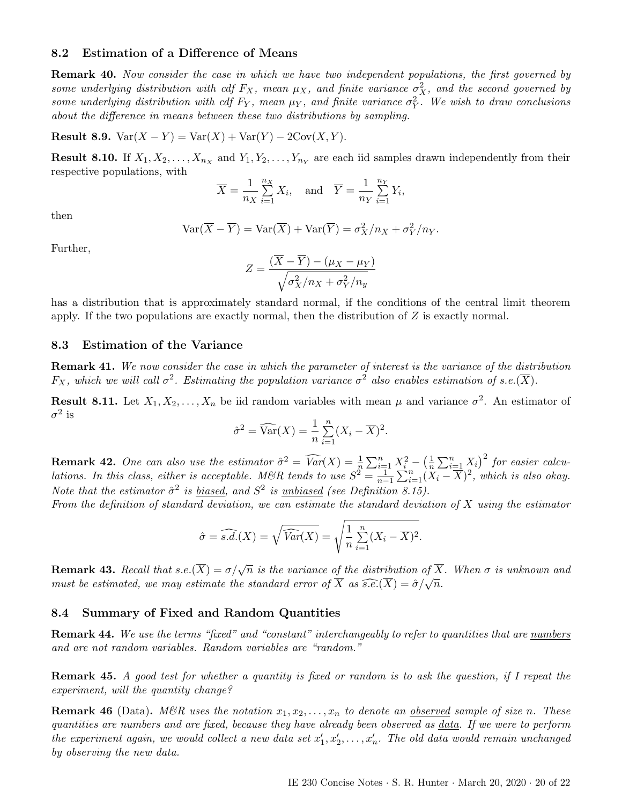#### <span id="page-19-0"></span>8.2 Estimation of a Difference of Means

Remark 40. Now consider the case in which we have two independent populations, the first governed by some underlying distribution with cdf  $F_X$ , mean  $\mu_X$ , and finite variance  $\sigma_X^2$ , and the second governed by some underlying distribution with cdf  $F_Y$ , mean  $\mu_Y$ , and finite variance  $\sigma_Y^2$ . We wish to draw conclusions about the difference in means between these two distributions by sampling.

Result 8.9.  $Var(X - Y) = Var(X) + Var(Y) - 2Cov(X, Y)$ .

**Result 8.10.** If  $X_1, X_2, \ldots, X_{n_X}$  and  $Y_1, Y_2, \ldots, Y_{n_Y}$  are each iid samples drawn independently from their respective populations, with

$$
\overline{X} = \frac{1}{n_X} \sum_{i=1}^{n_X} X_i, \text{ and } \overline{Y} = \frac{1}{n_Y} \sum_{i=1}^{n_Y} Y_i,
$$

then

$$
Var(\overline{X} - \overline{Y}) = Var(\overline{X}) + Var(\overline{Y}) = \sigma_X^2/n_X + \sigma_Y^2/n_Y.
$$

Further,

$$
Z = \frac{(\overline{X} - \overline{Y}) - (\mu_X - \mu_Y)}{\sqrt{\sigma_X^2/n_X + \sigma_Y^2/n_y}}
$$

has a distribution that is approximately standard normal, if the conditions of the central limit theorem apply. If the two populations are exactly normal, then the distribution of  $Z$  is exactly normal.

#### <span id="page-19-1"></span>8.3 Estimation of the Variance

Remark 41. We now consider the case in which the parameter of interest is the variance of the distribution  $F_X$ , which we will call  $\sigma^2$ . Estimating the population variance  $\sigma^2$  also enables estimation of s.e.( $\overline{X}$ ).

**Result 8.11.** Let  $X_1, X_2, \ldots, X_n$  be iid random variables with mean  $\mu$  and variance  $\sigma^2$ . An estimator of  $\sigma^2$  is

$$
\hat{\sigma}^2 = \widehat{\text{Var}}(X) = \frac{1}{n} \sum_{i=1}^n (X_i - \overline{X})^2.
$$

**Remark 42.** One can also use the estimator  $\hat{\sigma}^2 = \widehat{Var}(X) = \frac{1}{n} \sum_{i=1}^n X_i^2 - \left(\frac{1}{n}\right)^2$  $\frac{1}{n}\sum_{i=1}^{n} X_i$ <sup>2</sup> for easier calculations. In this class, either is acceptable. M&R tends to use  $S^2 = \frac{1}{n-1} \sum_{i=1}^{n} (\overline{X}_i - \overline{X})^2$ , which is also okay. Note that the estimator  $\hat{\sigma}^2$  is <u>biased</u>, and  $S^2$  is <u>unbiased</u> (see Definition [8.15\)](#page-20-1).

From the definition of standard deviation, we can estimate the standard deviation of  $X$  using the estimator

$$
\hat{\sigma} = \widehat{s.d.}(X) = \sqrt{\widehat{Var}(X)} = \sqrt{\frac{1}{n} \sum_{i=1}^{n} (X_i - \overline{X})^2}.
$$

**Remark 43.** Recall that s.e.( $\overline{X}$ ) =  $\sigma/\sqrt{n}$  is the variance of the distribution of  $\overline{X}$ . When  $\sigma$  is unknown and must be estimated, we may estimate the standard error of  $\overline{X}$  as  $\widehat{s.e.}(\overline{X}) = \widehat{\sigma}/\sqrt{n}$ .

#### <span id="page-19-2"></span>8.4 Summary of Fixed and Random Quantities

Remark 44. We use the terms "fixed" and "constant" interchangeably to refer to quantities that are numbers and are not random variables. Random variables are "random."

Remark 45. A good test for whether a quantity is fixed or random is to ask the question, if I repeat the experiment, will the quantity change?

**Remark 46** (Data). M&R uses the notation  $x_1, x_2, \ldots, x_n$  to denote an <u>observed</u> sample of size n. These quantities are numbers and are fixed, because they have already been observed as data. If we were to perform the experiment again, we would collect a new data set  $x'_1, x'_2, \ldots, x'_n$ . The old data would remain unchanged by observing the new data.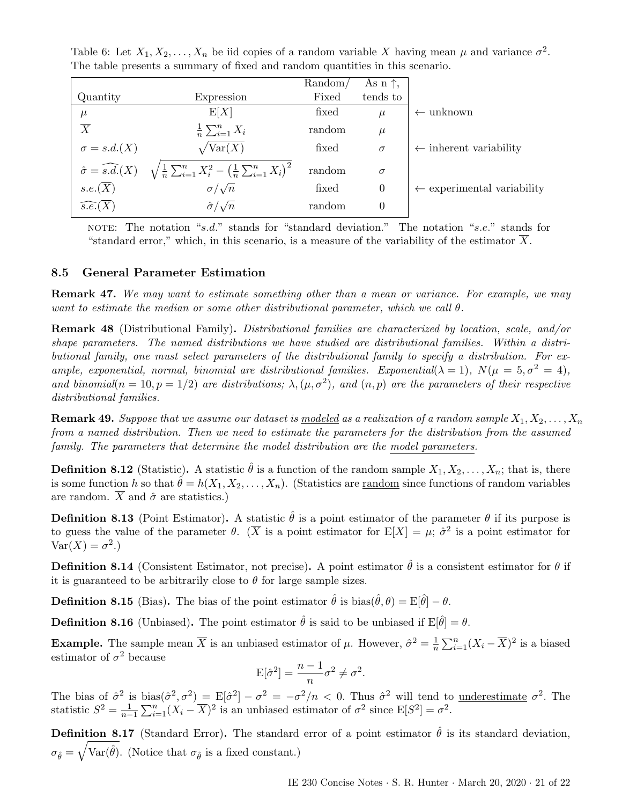Table 6: Let  $X_1, X_2, \ldots, X_n$  be iid copies of a random variable X having mean  $\mu$  and variance  $\sigma^2$ . The table presents a summary of fixed and random quantities in this scenario.

|                                |                                                                                                                   | Random/ | As $n \uparrow$ , |                                       |
|--------------------------------|-------------------------------------------------------------------------------------------------------------------|---------|-------------------|---------------------------------------|
| Quantity                       | Expression                                                                                                        | Fixed   | tends to          |                                       |
| $\mu$                          | E[X]                                                                                                              | fixed   | $\mu$             | unknown<br>$\leftarrow$               |
| $\overline{X}$                 | $\frac{1}{n}\sum_{i=1}^n X_i$                                                                                     | random  | $\mu$             |                                       |
| $\sigma = s.d.(X)$             | $\sqrt{\text{Var}(X)}$                                                                                            | fixed   | $\sigma$          | $\leftarrow$ inherent variability     |
|                                | $\hat{\sigma} = \widehat{s.d.}(X)$ $\sqrt{\frac{1}{n} \sum_{i=1}^{n} X_i^2 - (\frac{1}{n} \sum_{i=1}^{n} X_i)^2}$ | random  | $\sigma$          |                                       |
| $s.e.(\overline{X})$           | $\sigma/\sqrt{n}$                                                                                                 | fixed   | $\theta$          | $\leftarrow$ experimental variability |
| $\widehat{s.e.}(\overline{X})$ | $\hat{\sigma}/\sqrt{n}$                                                                                           | random  | 0                 |                                       |

NOTE: The notation "s.d." stands for "standard deviation." The notation "s.e." stands for "standard error," which, in this scenario, is a measure of the variability of the estimator  $\overline{X}$ .

## <span id="page-20-0"></span>8.5 General Parameter Estimation

**Remark 47.** We may want to estimate something other than a mean or variance. For example, we may want to estimate the median or some other distributional parameter, which we call  $\theta$ .

Remark 48 (Distributional Family). Distributional families are characterized by location, scale, and/or shape parameters. The named distributions we have studied are distributional families. Within a distributional family, one must select parameters of the distributional family to specify a distribution. For example, exponential, normal, binomial are distributional families. Exponential( $\lambda = 1$ ),  $N(\mu = 5, \sigma^2 = 4)$ , and binomial( $n = 10, p = 1/2$ ) are distributions;  $\lambda, (\mu, \sigma^2)$ , and  $(n, p)$  are the parameters of their respective distributional families.

**Remark 49.** Suppose that we assume our dataset is modeled as a realization of a random sample  $X_1, X_2, \ldots, X_n$ from a named distribution. Then we need to estimate the parameters for the distribution from the assumed family. The parameters that determine the model distribution are the model parameters.

**Definition 8.12** (Statistic). A statistic  $\hat{\theta}$  is a function of the random sample  $X_1, X_2, \ldots, X_n$ ; that is, there is some function h so that  $\hat{\theta} = h(X_1, X_2, \dots, X_n)$ . (Statistics are <u>random</u> since functions of random variables are random.  $\overline{X}$  and  $\hat{\sigma}$  are statistics.)

**Definition 8.13** (Point Estimator). A statistic  $\hat{\theta}$  is a point estimator of the parameter  $\theta$  if its purpose is to guess the value of the parameter  $\theta$ . ( $\overline{X}$  is a point estimator for  $E[X] = \mu$ ;  $\hat{\sigma}^2$  is a point estimator for  $\text{Var}(X) = \sigma^2.$ 

**Definition 8.14** (Consistent Estimator, not precise). A point estimator  $\hat{\theta}$  is a consistent estimator for  $\theta$  if it is guaranteed to be arbitrarily close to  $\theta$  for large sample sizes.

<span id="page-20-1"></span>**Definition 8.15** (Bias). The bias of the point estimator  $\hat{\theta}$  is bias( $\hat{\theta}, \theta$ ) = E[ $\hat{\theta}$ ] –  $\theta$ .

**Definition 8.16** (Unbiased). The point estimator  $\hat{\theta}$  is said to be unbiased if  $E[\hat{\theta}] = \theta$ .

**Example.** The sample mean  $\overline{X}$  is an unbiased estimator of  $\mu$ . However,  $\hat{\sigma}^2 = \frac{1}{n}$  $\frac{1}{n} \sum_{i=1}^{n} (X_i - \overline{X})^2$  is a biased estimator of  $\sigma^2$  because

$$
\mathbf{E}[\hat{\sigma}^2] = \frac{n-1}{n}\sigma^2 \neq \sigma^2.
$$

The bias of  $\hat{\sigma}^2$  is bias $(\hat{\sigma}^2, \sigma^2) = \mathbb{E}[\hat{\sigma}^2] - \sigma^2 = -\sigma^2/n < 0$ . Thus  $\hat{\sigma}^2$  will tend to <u>underestimate</u>  $\sigma^2$ . The statistic  $S^2 = \frac{1}{n-1} \sum_{i=1}^n (X_i - \overline{X})^2$  is an unbiased estimator of  $\sigma^2$  since  $E[S^2] = \sigma^2$ .

**Definition 8.17** (Standard Error). The standard error of a point estimator  $\hat{\theta}$  is its standard deviation,  $\sigma_{\hat{\theta}} = \sqrt{\text{Var}(\hat{\theta})}$ . (Notice that  $\sigma_{\hat{\theta}}$  is a fixed constant.)